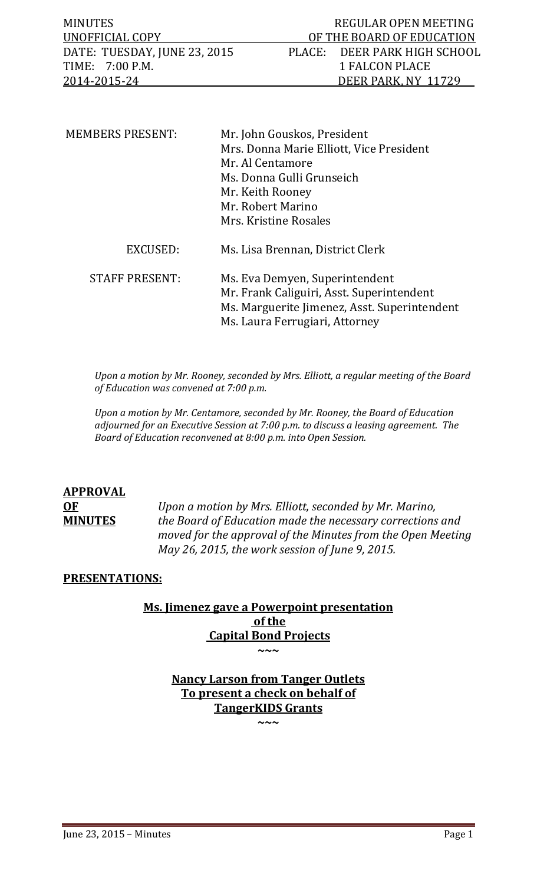| <b>MINUTES</b>               | REGULAR OPEN MEETING         |
|------------------------------|------------------------------|
| UNOFFICIAL COPY              | OF THE BOARD OF EDUCATION    |
| DATE: TUESDAY, JUNE 23, 2015 | PLACE: DEER PARK HIGH SCHOOL |
| TIME: 7:00 P.M.              | 1 FALCON PLACE               |
| 2014-2015-24                 | DEER PARK, NY 11729          |

| <b>MEMBERS PRESENT:</b> | Mr. John Gouskos, President<br>Mrs. Donna Marie Elliott, Vice President<br>Mr. Al Centamore<br>Ms. Donna Gulli Grunseich<br>Mr. Keith Rooney<br>Mr. Robert Marino<br>Mrs. Kristine Rosales |
|-------------------------|--------------------------------------------------------------------------------------------------------------------------------------------------------------------------------------------|
| <b>EXCUSED:</b>         | Ms. Lisa Brennan, District Clerk                                                                                                                                                           |
| <b>STAFF PRESENT:</b>   | Ms. Eva Demyen, Superintendent<br>Mr. Frank Caliguiri, Asst. Superintendent<br>Ms. Marguerite Jimenez, Asst. Superintendent<br>Ms. Laura Ferrugiari, Attorney                              |

*Upon a motion by Mr. Rooney, seconded by Mrs. Elliott, a regular meeting of the Board of Education was convened at 7:00 p.m.*

*Upon a motion by Mr. Centamore, seconded by Mr. Rooney, the Board of Education adjourned for an Executive Session at 7:00 p.m. to discuss a leasing agreement. The Board of Education reconvened at 8:00 p.m. into Open Session.* 

## **APPROVAL**

**OF** *Upon a motion by Mrs. Elliott, seconded by Mr. Marino,*  **MINUTES** *the Board of Education made the necessary corrections and moved for the approval of the Minutes from the Open Meeting May 26, 2015, the work session of June 9, 2015.*

## **PRESENTATIONS:**

## **Ms. Jimenez gave a Powerpoint presentation of the Capital Bond Projects ~~~**

**Nancy Larson from Tanger Outlets To present a check on behalf of TangerKIDS Grants**

**~~~**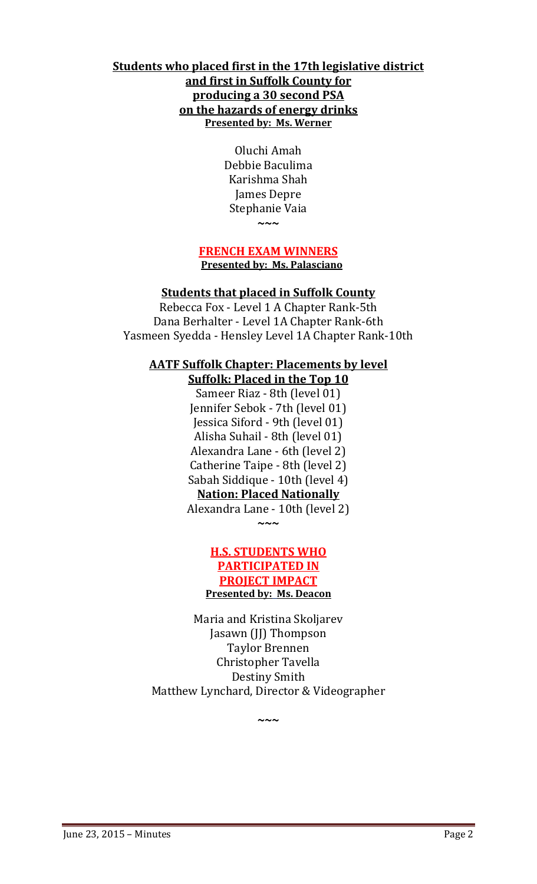## **Students who placed first in the 17th legislative district and first in Suffolk County for producing a 30 second PSA on the hazards of energy drinks Presented by: Ms. Werner**

Oluchi Amah Debbie Baculima Karishma Shah James Depre Stephanie Vaia **~~~**

#### **FRENCH EXAM WINNERS Presented by: Ms. Palasciano**

## **Students that placed in Suffolk County**

Rebecca Fox - Level 1 A Chapter Rank-5th Dana Berhalter - Level 1A Chapter Rank-6th Yasmeen Syedda - Hensley Level 1A Chapter Rank-10th

## **AATF Suffolk Chapter: Placements by level**

**Suffolk: Placed in the Top 10** Sameer Riaz - 8th (level 01) Jennifer Sebok - 7th (level 01) Jessica Siford - 9th (level 01) Alisha Suhail - 8th (level 01) Alexandra Lane - 6th (level 2) Catherine Taipe - 8th (level 2) Sabah Siddique - 10th (level 4) **Nation: Placed Nationally** Alexandra Lane - 10th (level 2)

## **H.S. STUDENTS WHO PARTICIPATED IN PROJECT IMPACT Presented by: Ms. Deacon**

**~~~**

Maria and Kristina Skoljarev Jasawn (JJ) Thompson Taylor Brennen Christopher Tavella Destiny Smith Matthew Lynchard, Director & Videographer

**~~~**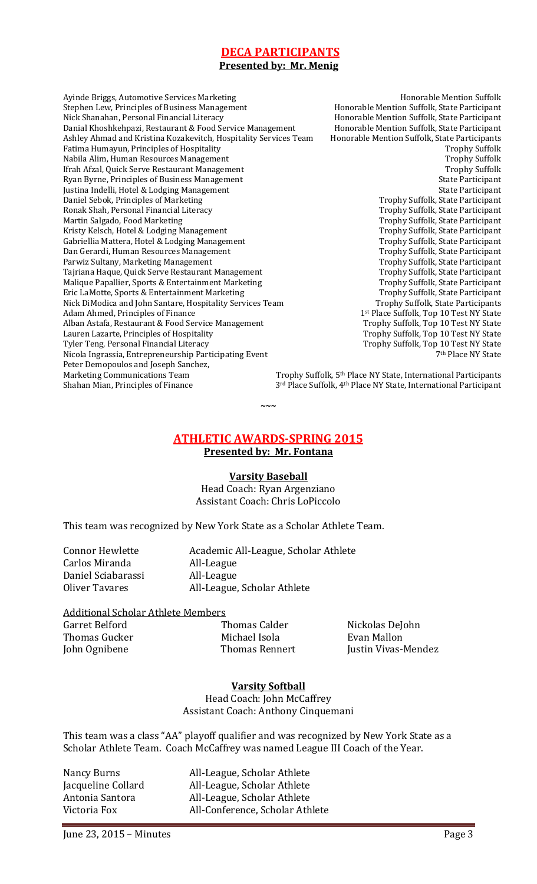## **DECA PARTICIPANTS**

#### **Presented by: Mr. Menig**

Ayinde Briggs, Automotive Services Marketing Honorable Mention Suffolk<br>Stephen Lew, Principles of Business Management Honorable Mention Suffolk, State Participant Stephen Lew, Principles of Business Management<br>Nick Shanahan, Personal Financial Literacy Danial Khoshkehpazi, Restaurant & Food Service Management Honorable Mention Suffolk, State Participant<br>Ashley Ahmad and Kristina Kozakevitch, Hospitality Services Team Honorable Mention Suffolk, State Participants Ashley Ahmad and Kristina Kozakevitch, Hospitality Services Team Honorable Mention Suffolk, State Participants<br>Fatima Humayun, Principles of Hospitality Fatima Humayun, Principles of Hospitality<br>
Nabila Alim, Human Resources Management<br>
Trophy Suffolk Nabila Alim, Human Resources Management<br>
1988 Trophy Suffolk (Trah Afzal, Quick Serve Restaurant Management Trophy Suffolk Ifrah Afzal, Quick Serve Restaurant Management **Trophy Suffolk Serve Restaurant Management** Trophy Suffolk Ryan Byrne, Principles of Business Management Ryan Byrne, Principles of Business Management<br>
Justina Indelli, Hotel & Lodging Management<br>
State Participant Justina Indelli, Hotel & Lodging Management State Participant<br>Daniel Sebok, Principles of Marketing State Participant State Participant Daniel Sebok, Principles of Marketing<br>Ronak Shah, Personal Financial Literacy Ronak Shah, Personal Financial Literacy Trophy Suffolk, State Participant<br>Martin Salgado, Food Marketing Trophy Suffolk, State Participant Kristy Kelsch, Hotel & Lodging Management<br>Gabriellia Mattera, Hotel & Lodging Management Trophy Suffolk, State Participant Gabriellia Mattera, Hotel & Lodging Management Trophy Suffolk, State Participant<br>
Dan Gerardi, Human Resources Management Trophy Suffolk, State Participant Dan Gerardi, Human Resources Management Trophy Suffolk, State Participant<br>
Parwiz Sultany, Marketing Management Trophy Suffolk, State Participant Parwiz Sultany, Marketing Management Trophy Suffolk, State Participant Tajriana Haque, Quick Serve Restaurant Management Trophy Suffolk, State Participant<br>Malique Papallier, Sports & Entertainment Marketing Trophy Suffolk, State Participant Malique Papallier, Sports & Entertainment Marketing Trophy Suffolk, State Participant<br>Trophy Suffolk, State Participant<br>Trophy Suffolk, State Participant Eric LaMotte, Sports & Entertainment Marketing Trophy Suffolk, State Participant<br>Nick DiModica and John Santare, Hospitality Services Team Trophy Suffolk, State Participants Nick DiModica and John Santare, Hospitality Services Team<br>Adam Ahmed, Principles of Finance Alban Astafa, Restaurant & Food Service Management<br>Lauren Lazarte, Principles of Hospitality Lauren Lazarte, Principles of Hospitality<br>
Trophy Suffolk, Top 10 Test NY State<br>
Trophy Suffolk, Top 10 Test NY State<br>
Trophy Suffolk, Top 10 Test NY State Nicola Ingrassia, Entrepreneurship Participating Event Peter Demopoulos and Joseph Sanchez,<br>Marketing Communications Team Marketing Communications Team Trophy Suffolk,  $5<sup>th</sup>$  Place NY State, International Participants<br>Shahan Mian, Principles of Finance  $3<sup>rd</sup>$  Place Suffolk,  $4<sup>th</sup>$  Place NY State, International Participant

Honorable Mention Suffolk, State Participant<br>Honorable Mention Suffolk, State Participant Trophy Suffolk, State Participant<br>Trophy Suffolk, State Participant 1<sup>st</sup> Place Suffolk, Top 10 Test NY State<br>Trophy Suffolk, Top 10 Test NY State Trophy Suffolk, Top 10 Test NY State<br><sup>7th</sup> Place NY State

3<sup>rd</sup> Place Suffolk, 4<sup>th</sup> Place NY State, International Participant

## **ATHLETIC AWARDS-SPRING 2015**

**~~~**

**Presented by: Mr. Fontana**

#### **Varsity Baseball**

Head Coach: Ryan Argenziano Assistant Coach: Chris LoPiccolo

This team was recognized by New York State as a Scholar Athlete Team.

Carlos Miranda (All-League All-League )<br>Daniel Sciabarassi (All-League ) Daniel Sciabarassi<br>Oliver Tavares

Connor Hewlette Academic All-League, Scholar Athlete<br>Carlos Miranda All-League All-League, Scholar Athlete

## Additional Scholar Athlete Members<br>Garret Belford **Frank Contains Calder**

Garret Belford Thomas Calder Nickolas DeJohn Thomas Gucker Michael Isola<br>1999 - John Ognibene Mallon Mallon Mallon Mallon Mallon Mallon Mallon Mallon Mallon Mallon Mallon Mallon Mall<br>1999 - Thomas Rennert

Justin Vivas-Mendez

## **Varsity Softball**

Head Coach: John McCaffrey Assistant Coach: Anthony Cinquemani

This team was a class "AA" playoff qualifier and was recognized by New York State as a Scholar Athlete Team. Coach McCaffrey was named League III Coach of the Year.

Nancy Burns All-League, Scholar Athlete<br>
Jacqueline Collard All-League, Scholar Athlete Jacqueline Collard All-League, Scholar Athlete<br>Antonia Santora All-League, Scholar Athlete Antonia Santora All-League, Scholar Athlete<br>Victoria Fox All-Conference, Scholar Ath All-Conference, Scholar Athlete

June 23, 2015 – Minutes Page 3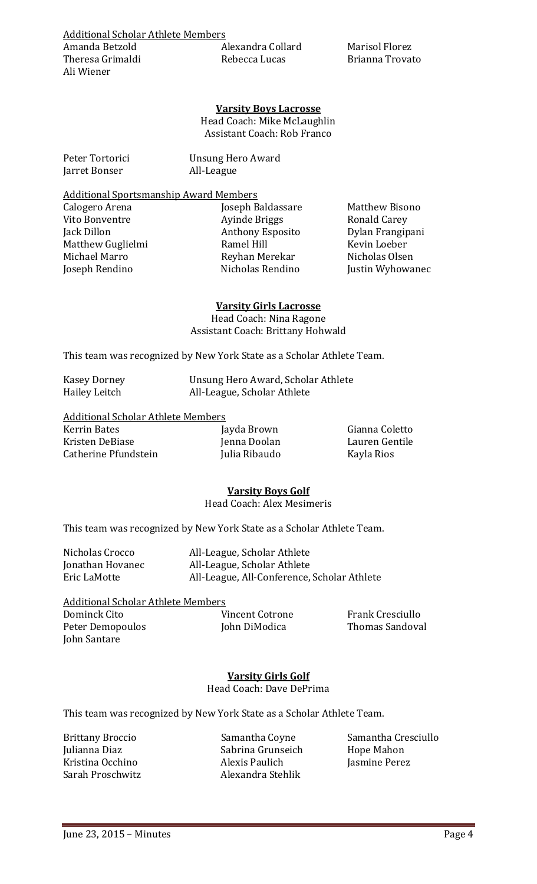Alexandra Collard Marisol Florez<br>Rebecca Lucas Brianna Trovato

#### **Varsity Boys Lacrosse**

Head Coach: Mike McLaughlin Assistant Coach: Rob Franco

Jarret Bonser

Peter Tortorici Unsung Hero Award

## Additional Sportsmanship Award Members

Calogero Arena Joseph Baldassare Matthew Bisono<br>Vito Bonventre Ayinde Briggs Ronald Carey Vito Bonventre Ayinde Briggs Ronald Carey Matthew Guglielmi Ramel Hill Kevin Loeber Michael Marro Reyhan Merekar Nicholas Olsen

Anthony Esposito Dylan Frangip<br>Ramel Hill Kevin Loeber

Justin Wyhowanec

#### **Varsity Girls Lacrosse**

Head Coach: Nina Ragone Assistant Coach: Brittany Hohwald

This team was recognized by New York State as a Scholar Athlete Team.

| <b>Kasey Dorney</b> | Unsung Hero Award, Scholar Athlete |
|---------------------|------------------------------------|
| Hailey Leitch       | All-League, Scholar Athlete        |

Additional Scholar Athlete Members<br>Kerrin Bates [a Kerrin Bates Jayda Brown Gianna Coletto Catherine Pfundstein

Kristen DeBiase Jenna Doolan Lauren Gentile

## **Varsity Boys Golf**

Head Coach: Alex Mesimeris

This team was recognized by New York State as a Scholar Athlete Team.

| Nicholas Crocco  | All-League, Scholar Athlete                 |
|------------------|---------------------------------------------|
| Jonathan Hovanec | All-League, Scholar Athlete                 |
| Eric LaMotte     | All-League, All-Conference, Scholar Athlete |

Additional Scholar Athlete Members Peter Demopoulos John Santare

Dominck Cito Vincent Cotrone Frank Cresciullo

#### **Varsity Girls Golf** Head Coach: Dave DePrima

This team was recognized by New York State as a Scholar Athlete Team.

Julianna Diaz Sabrina Grunseich Hope Mahon Kristina Occhino Alexis Paulich Jasmine Perez Alexandra Stehlik

Brittany Broccio Samantha Coyne Samantha Cresciullo<br>
Julianna Diaz Sabrina Grunseich Hope Mahon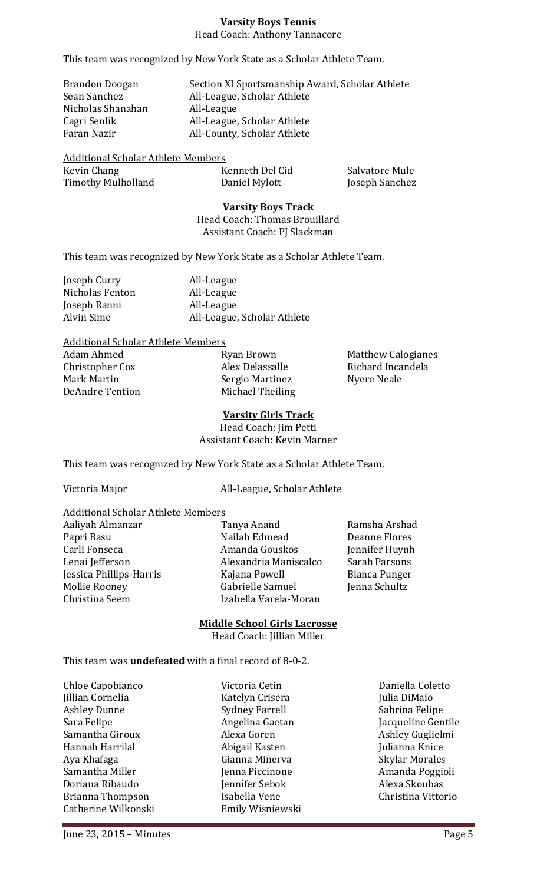## **Varsity Boys Tennis**

Head Coach: Anthony Tannacore

This team was recognized by New York State as a Scholar Athlete Team.

Brandon Doogan Section XI Sportsmanship Award, Scholar Athlete<br>Sean Sanchez All-League, Scholar Athlete All-League, Scholar Athlete<br>All-League Nicholas Shanahan<br>Cagri Senlik Cagri Senlik All-League, Scholar Athlete All-County, Scholar Athlete

Additional Scholar Athlete Members<br>Kevin Chang Timothy Mulholland

Kevin Chang Kenneth Del Cid Salvatore Mule

#### **Varsity Boys Track**

Head Coach: Thomas Brouillard Assistant Coach: PJ Slackman

This team was recognized by New York State as a Scholar Athlete Team.

| Joseph Curry    | All-League                  |
|-----------------|-----------------------------|
| Nicholas Fenton | All-League                  |
| Joseph Ranni    | All-League                  |
| Alvin Sime      | All-League, Scholar Athlete |
|                 |                             |

Additional Scholar Athlete Members<br>Adam Ahmed Ryan Brown

Christopher Cox Alex Delassalle Richard Incandela Mark Martin Sergio Martinez<br>
DeAndre Tention Michael Theiling

Michael Theiling

Adam Ahmed Ryan Brown Matthew Calogianes

#### **Varsity Girls Track**

Head Coach: Jim Petti Assistant Coach: Kevin Marner

This team was recognized by New York State as a Scholar Athlete Team.

Victoria Major **All-League, Scholar Athlete** 

## Additional Scholar Athlete Members

Mollie Rooney Gabrielle Samuel<br>Christina Seem (Jackbarela-M

Aaliyah Almanzar Tanya Anand Ramsha Arshad Papri Basu Nailah Edmead Deanne Flores Carli Fonseca Amanda Gouskos Jennifer Huynh Alexandria Maniscalco Sarah Parsons<br>Kajana Powell Bianca Punger Jessica Phillips-Harris Kajana Powell Bianca Punger Izabella Varela-Moran

#### **Middle School Girls Lacrosse**

Head Coach: Jillian Miller

This team was **undefeated** with a final record of 8-0-2.

| Chloe Capobianco    | Victoria Cetin        | Daniella Coletto  |
|---------------------|-----------------------|-------------------|
| Jillian Cornelia    | Katelyn Crisera       | Julia DiMaio      |
| <b>Ashley Dunne</b> | <b>Sydney Farrell</b> | Sabrina Felipe    |
| Sara Felipe         | Angelina Gaetan       | Jacqueline Genti  |
| Samantha Giroux     | Alexa Goren           | Ashley Guglielm   |
| Hannah Harrilal     | Abigail Kasten        | Julianna Knice    |
| Aya Khafaga         | Gianna Minerva        | Skylar Morales    |
| Samantha Miller     | Jenna Piccinone       | Amanda Poggio     |
| Doriana Ribaudo     | Jennifer Sebok        | Alexa Skoubas     |
| Brianna Thompson    | Isabella Vene         | Christina Vittori |
| Catherine Wilkonski | Emily Wisniewski      |                   |
|                     |                       |                   |

Julianna Knice<br>Skylar Morales Amanda Poggioli<br>Alexa Skoubas Christina Vittorio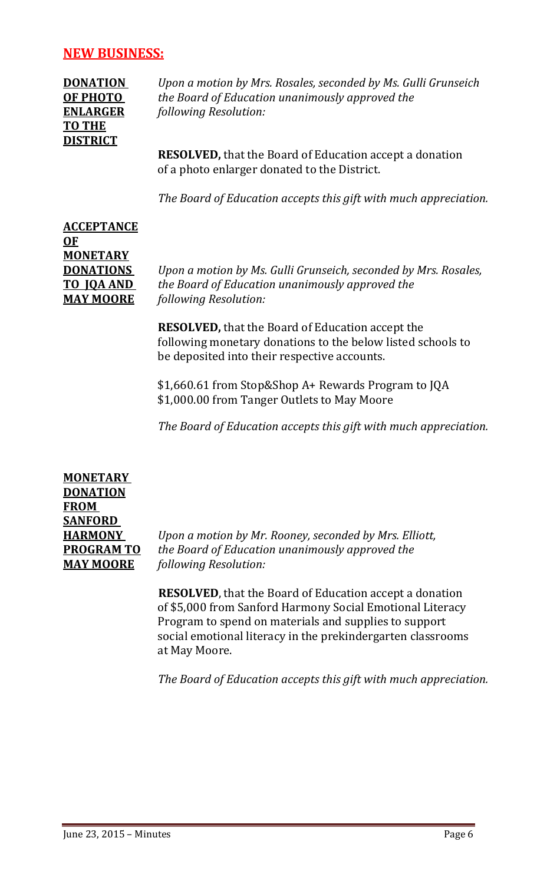## **NEW BUSINESS:**

**TO THE DISTRICT**

**DONATION** *Upon a motion by Mrs. Rosales, seconded by Ms. Gulli Grunseich* **OF PHOTO** *the Board of Education unanimously approved the* **ENLARGER** *following Resolution:*

> **RESOLVED,** that the Board of Education accept a donation of a photo enlarger donated to the District.

*The Board of Education accepts this gift with much appreciation.*

# **ACCEPTANCE OF MONETARY**

**DONATIONS** *Upon a motion by Ms. Gulli Grunseich, seconded by Mrs. Rosales,* **TO JQA AND** *the Board of Education unanimously approved the* **MAY MOORE** *following Resolution:*

> **RESOLVED,** that the Board of Education accept the following monetary donations to the below listed schools to be deposited into their respective accounts.

\$1,660.61 from Stop&Shop A+ Rewards Program to JQA \$1,000.00 from Tanger Outlets to May Moore

*The Board of Education accepts this gift with much appreciation.*

**MONETARY DONATION FROM SANFORD** 

**HARMONY** *Upon a motion by Mr. Rooney, seconded by Mrs. Elliott,* **PROGRAM TO** *the Board of Education unanimously approved the* **MAY MOORE** *following Resolution:*

> **RESOLVED**, that the Board of Education accept a donation of \$5,000 from Sanford Harmony Social Emotional Literacy Program to spend on materials and supplies to support social emotional literacy in the prekindergarten classrooms at May Moore.

*The Board of Education accepts this gift with much appreciation.*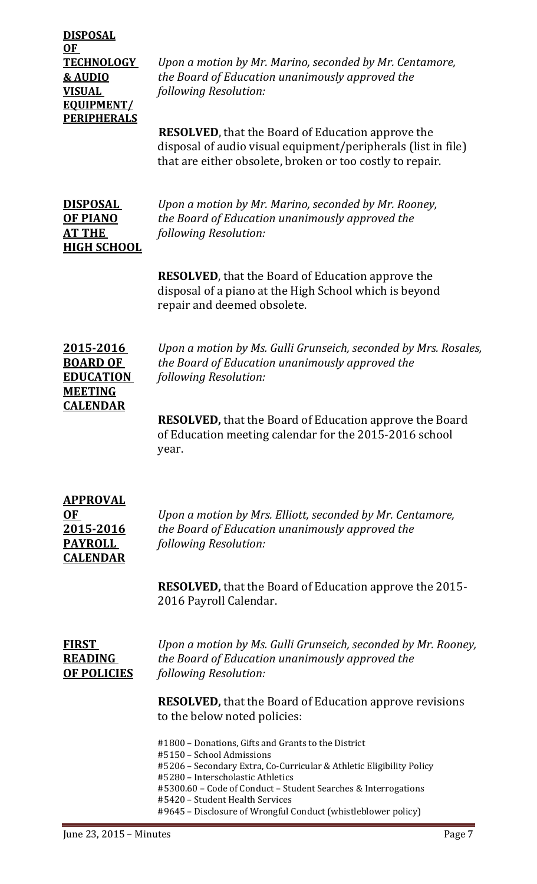**DISPOSAL OF EQUIPMENT/ PERIPHERALS**

**TECHNOLOGY** *Upon a motion by Mr. Marino, seconded by Mr. Centamore,* **& AUDIO** *the Board of Education unanimously approved the* **VISUAL** *following Resolution:*

> **RESOLVED**, that the Board of Education approve the disposal of audio visual equipment/peripherals (list in file) that are either obsolete, broken or too costly to repair.

**HIGH SCHOOL**

**DISPOSAL** *Upon a motion by Mr. Marino, seconded by Mr. Rooney,* **OF PIANO** *the Board of Education unanimously approved the* **AT THE** *following Resolution:*

> **RESOLVED**, that the Board of Education approve the disposal of a piano at the High School which is beyond repair and deemed obsolete.

**MEETING CALENDAR**

**2015-2016** *Upon a motion by Ms. Gulli Grunseich, seconded by Mrs. Rosales,* **BOARD OF** *the Board of Education unanimously approved the* **EDUCATION** *following Resolution:*

> **RESOLVED,** that the Board of Education approve the Board of Education meeting calendar for the 2015-2016 school year.

| <b>APPROVAL</b> |
|-----------------|
| 0F              |
| 2015-2016       |
| <b>PAYROLL</b>  |
| <b>CALENDAR</b> |

**OF** *Upon a motion by Mrs. Elliott, seconded by Mr. Centamore,* **2015-2016** *the Board of Education unanimously approved the following Resolution:* 

**RESOLVED,** that the Board of Education approve the 2015- 2016 Payroll Calendar.

**FIRST** *Upon a motion by Ms. Gulli Grunseich, seconded by Mr. Rooney,* **READING** *the Board of Education unanimously approved the* **OF POLICIES** *following Resolution:*

> **RESOLVED,** that the Board of Education approve revisions to the below noted policies:

#1800 – Donations, Gifts and Grants to the District #5150 – School Admissions #5206 – Secondary Extra, Co-Curricular & Athletic Eligibility Policy #5280 – Interscholastic Athletics #5300.60 – Code of Conduct – Student Searches & Interrogations #5420 – Student Health Services #9645 – Disclosure of Wrongful Conduct (whistleblower policy)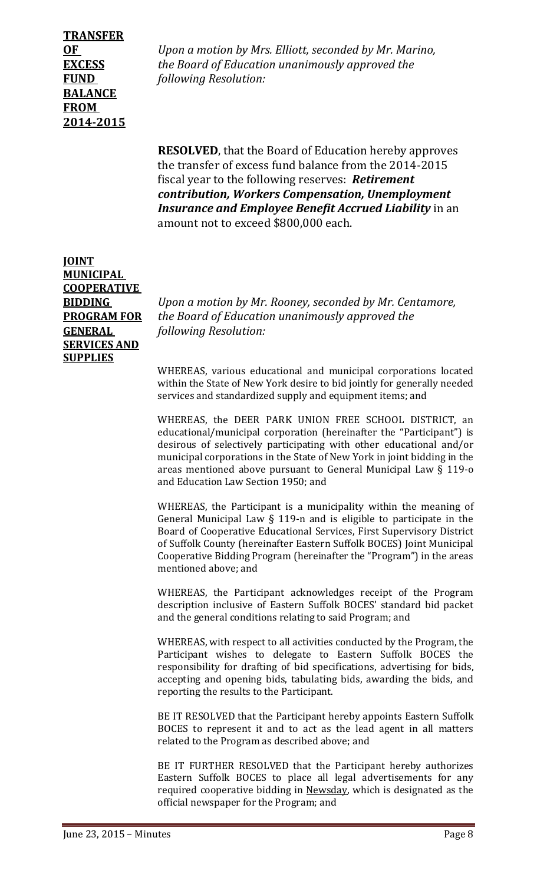## **TRANSFER BALANCE FROM 2014-2015**

**OF** *Upon a motion by Mrs. Elliott, seconded by Mr. Marino,* **EXCESS** *the Board of Education unanimously approved the* **FUND** *following Resolution:*

> **RESOLVED**, that the Board of Education hereby approves the transfer of excess fund balance from the 2014-2015 fiscal year to the following reserves: *Retirement contribution, Workers Compensation, Unemployment Insurance and Employee Benefit Accrued Liability* in an amount not to exceed \$800,000 each.

**JOINT MUNICIPAL COOPERATIVE SERVICES AND SUPPLIES** 

**BIDDING** *Upon a motion by Mr. Rooney, seconded by Mr. Centamore,* **PROGRAM FOR** *the Board of Education unanimously approved the* **GENERAL** *following Resolution:*

> WHEREAS, various educational and municipal corporations located within the State of New York desire to bid jointly for generally needed services and standardized supply and equipment items; and

> WHEREAS, the DEER PARK UNION FREE SCHOOL DISTRICT, an educational/municipal corporation (hereinafter the "Participant") is desirous of selectively participating with other educational and/or municipal corporations in the State of New York in joint bidding in the areas mentioned above pursuant to General Municipal Law § 119-o and Education Law Section 1950; and

> WHEREAS, the Participant is a municipality within the meaning of General Municipal Law § 119-n and is eligible to participate in the Board of Cooperative Educational Services, First Supervisory District of Suffolk County (hereinafter Eastern Suffolk BOCES) Joint Municipal Cooperative Bidding Program (hereinafter the "Program") in the areas mentioned above; and

> WHEREAS, the Participant acknowledges receipt of the Program description inclusive of Eastern Suffolk BOCES' standard bid packet and the general conditions relating to said Program; and

> WHEREAS, with respect to all activities conducted by the Program, the Participant wishes to delegate to Eastern Suffolk BOCES the responsibility for drafting of bid specifications, advertising for bids, accepting and opening bids, tabulating bids, awarding the bids, and reporting the results to the Participant.

> BE IT RESOLVED that the Participant hereby appoints Eastern Suffolk BOCES to represent it and to act as the lead agent in all matters related to the Program as described above; and

> BE IT FURTHER RESOLVED that the Participant hereby authorizes Eastern Suffolk BOCES to place all legal advertisements for any required cooperative bidding in Newsday, which is designated as the official newspaper for the Program; and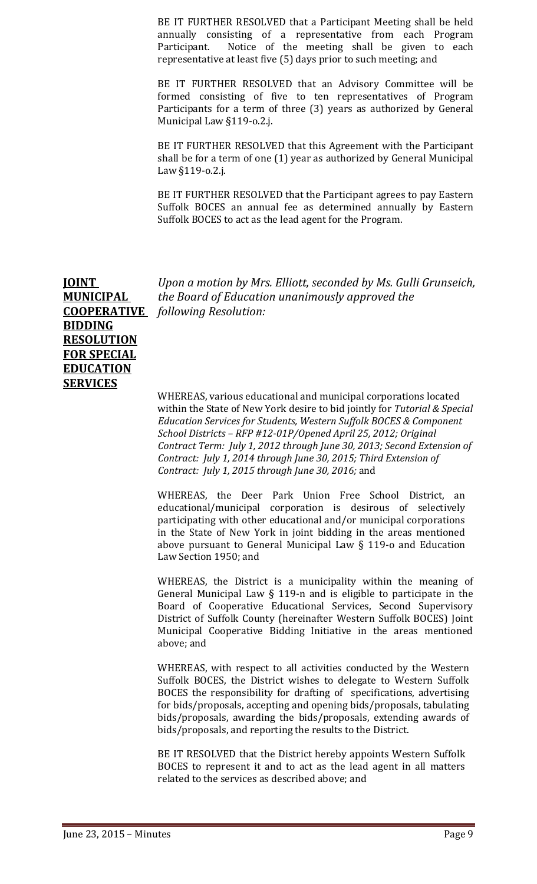BE IT FURTHER RESOLVED that a Participant Meeting shall be held annually consisting of a representative from each Program Participant. Notice of the meeting shall be given to each representative at least five (5) days prior to such meeting; and

BE IT FURTHER RESOLVED that an Advisory Committee will be formed consisting of five to ten representatives of Program Participants for a term of three (3) years as authorized by General Municipal Law §119-o.2.j.

BE IT FURTHER RESOLVED that this Agreement with the Participant shall be for a term of one (1) year as authorized by General Municipal Law §119-o.2.j.

BE IT FURTHER RESOLVED that the Participant agrees to pay Eastern Suffolk BOCES an annual fee as determined annually by Eastern Suffolk BOCES to act as the lead agent for the Program.

**BIDDING RESOLUTION FOR SPECIAL EDUCATION SERVICES**

**JOINT** *Upon a motion by Mrs. Elliott, seconded by Ms. Gulli Grunseich,* **MUNICIPAL** *the Board of Education unanimously approved the* **COOPERATIVE** *following Resolution:*

> WHEREAS, various educational and municipal corporations located within the State of New York desire to bid jointly for *Tutorial & Special Education Services for Students, Western Suffolk BOCES & Component School Districts – RFP #12-01P/Opened April 25, 2012; Original Contract Term: July 1, 2012 through June 30, 2013; Second Extension of Contract: July 1, 2014 through June 30, 2015; Third Extension of Contract: July 1, 2015 through June 30, 2016;* and

WHEREAS, the Deer Park Union Free School District, an educational/municipal corporation is desirous of selectively participating with other educational and/or municipal corporations in the State of New York in joint bidding in the areas mentioned above pursuant to General Municipal Law § 119-o and Education Law Section 1950; and

WHEREAS, the District is a municipality within the meaning of General Municipal Law § 119-n and is eligible to participate in the Board of Cooperative Educational Services, Second Supervisory District of Suffolk County (hereinafter Western Suffolk BOCES) Joint Municipal Cooperative Bidding Initiative in the areas mentioned above; and

WHEREAS, with respect to all activities conducted by the Western Suffolk BOCES, the District wishes to delegate to Western Suffolk BOCES the responsibility for drafting of specifications, advertising for bids/proposals, accepting and opening bids/proposals, tabulating bids/proposals, awarding the bids/proposals, extending awards of bids/proposals, and reporting the results to the District.

BE IT RESOLVED that the District hereby appoints Western Suffolk BOCES to represent it and to act as the lead agent in all matters related to the services as described above; and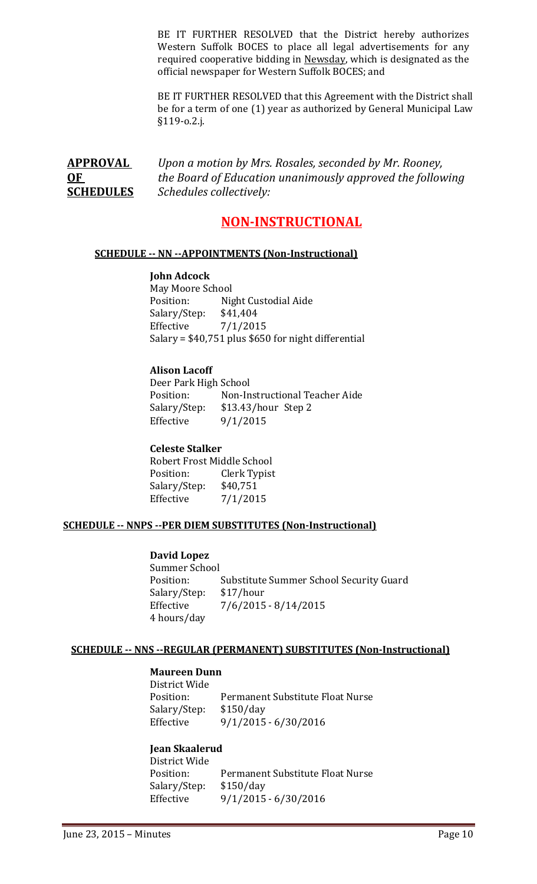BE IT FURTHER RESOLVED that the District hereby authorizes Western Suffolk BOCES to place all legal advertisements for any required cooperative bidding in Newsday, which is designated as the official newspaper for Western Suffolk BOCES; and

BE IT FURTHER RESOLVED that this Agreement with the District shall be for a term of one (1) year as authorized by General Municipal Law §119-o.2.j.

**APPROVAL** *Upon a motion by Mrs. Rosales, seconded by Mr. Rooney,* **OF** *the Board of Education unanimously approved the following*  **SCHEDULES** *Schedules collectively:*

## **NON-INSTRUCTIONAL**

## **SCHEDULE -- NN --APPOINTMENTS (Non-Instructional)**

#### **John Adcock**

May Moore School<br>Position: Nig Night Custodial Aide<br>\$41,404 Salary/Step: Effective 7/1/2015 Salary = \$40,751 plus \$650 for night differential

## **Alison Lacoff**

Deer Park High School<br>Position: Non-In Position: Non-Instructional Teacher Aide<br>Salary/Step: \$13.43/hour Step 2 \$13.43/hour Step 2 Effective 9/1/2015

## **Celeste Stalker**

Robert Frost Middle School<br>Position: Clerk Typist Clerk Typist<br>\$40,751 Salary/Step:<br>Effective  $7/1/2015$ 

## **SCHEDULE -- NNPS --PER DIEM SUBSTITUTES (Non-Instructional)**

#### **David Lopez**

Summer School<br>Position: Substitute Summer School Security Guard<br>\$17/hour Salary/Step:<br>Effective  $7/6/2015 - 8/14/2015$ 4 hours/day

#### **SCHEDULE -- NNS --REGULAR (PERMANENT) SUBSTITUTES (Non-Instructional)**

#### **Maureen Dunn**

District Wide Permanent Substitute Float Nurse<br>\$150/day Salary/Step: Effective 9/1/2015 - 6/30/2016

## **Jean Skaalerud**

District Wide Permanent Substitute Float Nurse<br>\$150/day Salary/Step:<br>Effective  $9/1/2015 - 6/30/2016$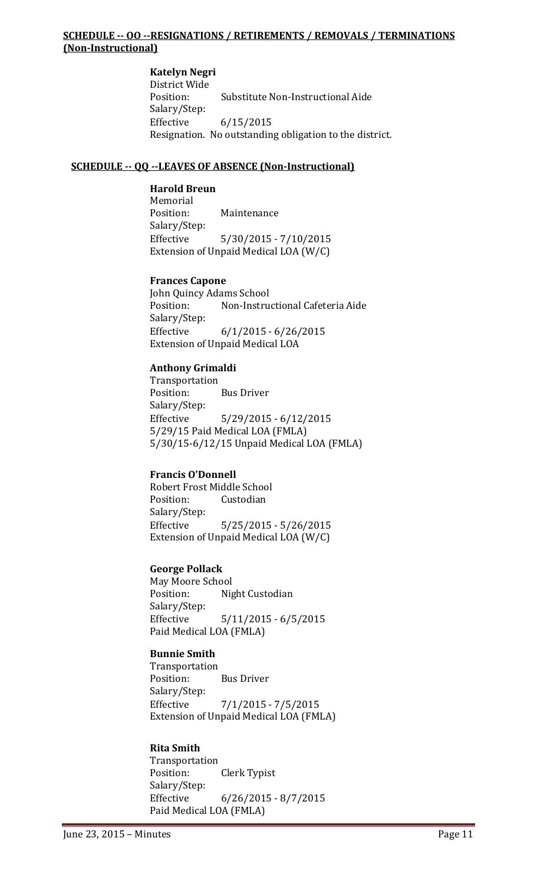## **SCHEDULE -- OO --RESIGNATIONS / RETIREMENTS / REMOVALS / TERMINATIONS (Non-Instructional)**

**Katelyn Negri** District Wide Substitute Non-Instructional Aide Salary/Step:<br>Effective Effective 6/15/2015 Resignation. No outstanding obligation to the district.

### **SCHEDULE -- QQ --LEAVES OF ABSENCE (Non-Instructional)**

#### **Harold Breun**

Memorial<br>Position: Maintenance Salary/Step:<br>Effective  $5/30/2015 - 7/10/2015$ Extension of Unpaid Medical LOA (W/C)

#### **Frances Capone**

John Quincy Adams School Non-Instructional Cafeteria Aide Salary/Step:<br>Effective  $6/1/2015 - 6/26/2015$ Extension of Unpaid Medical LOA

#### **Anthony Grimaldi**

Transportation<br>Position: **Bus Driver** Salary/Step: Effective 5/29/2015 - 6/12/2015 5/29/15 Paid Medical LOA (FMLA) 5/30/15-6/12/15 Unpaid Medical LOA (FMLA)

## **Francis O'Donnell**

Robert Frost Middle School<br>Position: Custodian Custodian Salary/Step:<br>Effective  $5/25/2015 - 5/26/2015$ Extension of Unpaid Medical LOA (W/C)

## **George Pollack**

May Moore School<br>Position: Nig Night Custodian Salary/Step: Effective 5/11/2015 - 6/5/2015 Paid Medical LOA (FMLA)

#### **Bunnie Smith**

Transportation Position: Bus Driver Salary/Step:<br>Effective  $7/1/2015 - 7/5/2015$ Extension of Unpaid Medical LOA (FMLA)

#### **Rita Smith**

Transportation<br>Position: **Clerk Typist** Salary/Step:<br>Effective  $6/26/2015 - 8/7/2015$ Paid Medical LOA (FMLA)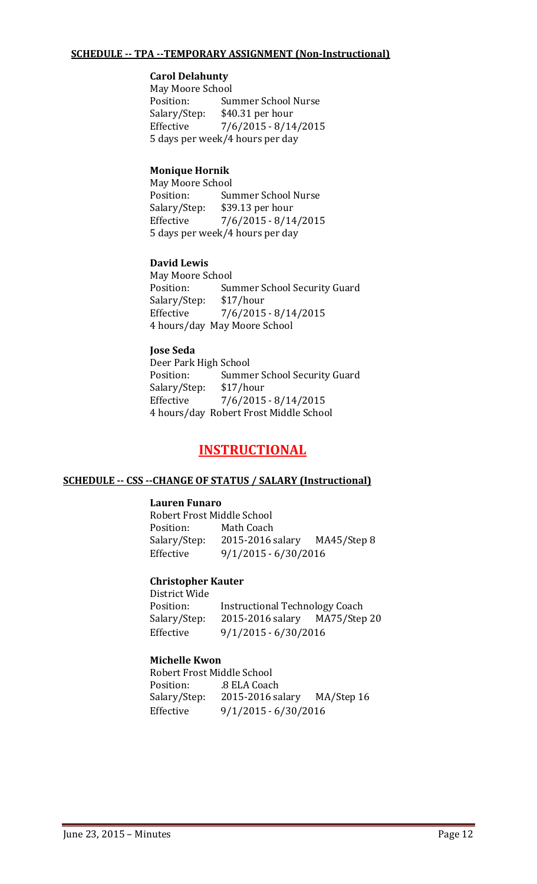#### **SCHEDULE -- TPA --TEMPORARY ASSIGNMENT (Non-Instructional)**

### **Carol Delahunty**

May Moore School<br>Position: Sui Position: Summer School Nurse<br>Salary/Step: \$40.31 per hour Salary/Step: \$40.31 per hour<br>Effective 7/6/2015 - 8/14  $7/6/2015 - 8/14/2015$ 5 days per week/4 hours per day

## **Monique Hornik**

May Moore School<br>Position: Sui Position: Summer School Nurse<br>Salary/Step: \$39.13 per hour \$39.13 per hour Effective 7/6/2015 - 8/14/2015 5 days per week/4 hours per day

#### **David Lewis**

May Moore School<br>Position: Sui Summer School Security Guard<br>\$17/hour Salary/Step: Effective 7/6/2015 - 8/14/2015 4 hours/day May Moore School

#### **Jose Seda**

Deer Park High School<br>Position: Summe Summer School Security Guard<br>\$17/hour Salary/Step:<br>Effective  $7/6/2015 - 8/14/2015$ 4 hours/day Robert Frost Middle School

## **INSTRUCTIONAL**

#### **SCHEDULE -- CSS --CHANGE OF STATUS / SALARY (Instructional)**

#### **Lauren Funaro**

Robert Frost Middle School Math Coach Salary/Step: 2015-2016 salary MA45/Step 8 Effective 9/1/2015 - 6/30/2016

#### **Christopher Kauter**

District Wide Position: Instructional Technology Coach<br>Salary/Step: 2015-2016 salary MA75/Step 20 2015-2016 salary Effective 9/1/2015 - 6/30/2016

#### **Michelle Kwon**

Robert Frost Middle School Position: .8 ELA Coach Salary/Step: 2015-2016 salary MA/Step 16 Effective 9/1/2015 - 6/30/2016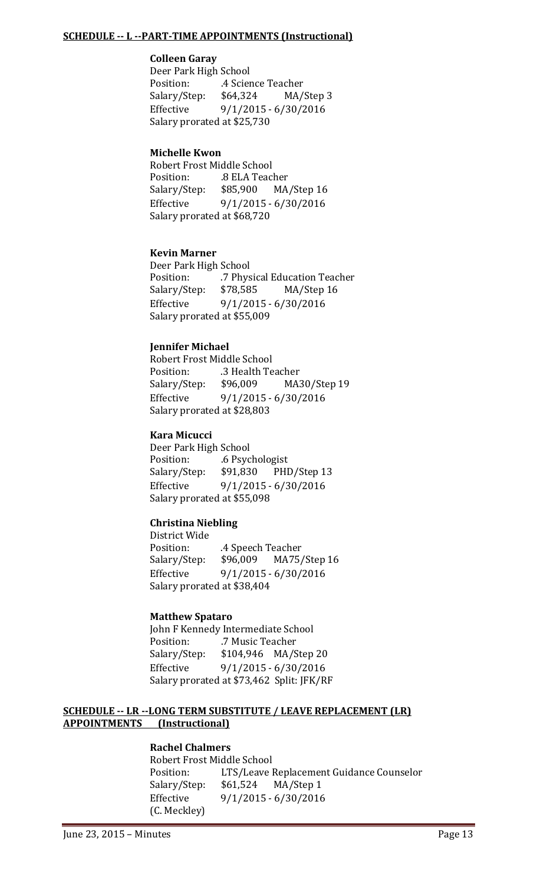#### **SCHEDULE -- L --PART-TIME APPOINTMENTS (Instructional)**

## **Colleen Garay**

Deer Park High School<br>Position: 4 Scier .4 Science Teacher<br>\$64,324 MA/ Salary/Step: \$64,324 MA/Step 3 Effective 9/1/2015 - 6/30/2016 Salary prorated at \$25,730

### **Michelle Kwon**

Robert Frost Middle School 8 ELA Teacher<br>\$85,900 MA/Step 16 Salary/Step: Effective 9/1/2015 - 6/30/2016 Salary prorated at \$68,720

## **Kevin Marner**

Deer Park High School<br>Position: 7 Phys .7 Physical Education Teacher<br>\$78,585 MA/Step 16 Salary/Step:<br>Effective  $9/1/2015 - 6/30/2016$ Salary prorated at \$55,009

## **Jennifer Michael**

Robert Frost Middle School .3 Health Teacher<br>\$96,009 MA30/Step 19 Salary/Step: Effective 9/1/2015 - 6/30/2016 Salary prorated at \$28,803

#### **Kara Micucci**

Deer Park High School<br>Position: ... ... ... ... 6 Psyc 6 Psychologist<br>\$91,830 PHD/Step 13 Salary/Step: Effective 9/1/2015 - 6/30/2016 Salary prorated at \$55,098

## **Christina Niebling**

District Wide Position: .extlement A Speech Teacher<br>Salary/Step: \$96,009 MA75, MA75/Step 16 Effective 9/1/2015 - 6/30/2016 Salary prorated at \$38,404

#### **Matthew Spataro**

John F Kennedy Intermediate School<br>Position: 7 Music Teacher Position: .7 Music Teacher<br>Salary/Step: \$104,946 MA/S \$104,946 MA/Step 20 Effective 9/1/2015 - 6/30/2016 Salary prorated at \$73,462 Split: JFK/RF

#### **SCHEDULE -- LR --LONG TERM SUBSTITUTE / LEAVE REPLACEMENT (LR) APPOINTMENTS (Instructional)**

#### **Rachel Chalmers**

Robert Frost Middle School<br>Position: LTS/Leave l LTS/Leave Replacement Guidance Counselor<br>\$61,524 MA/Step 1 Salary/Step: Effective 9/1/2015 - 6/30/2016 (C. Meckley)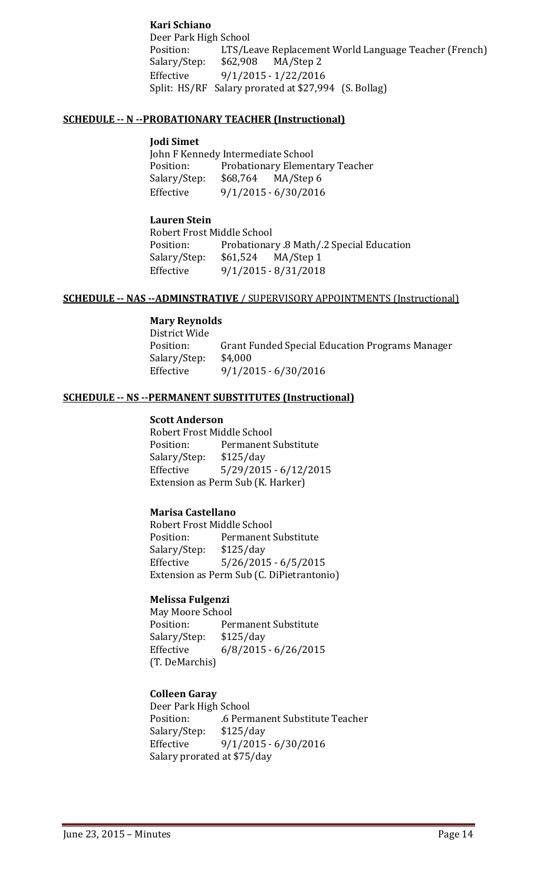## **Kari Schiano**

Deer Park High School<br>Position: LTS/Le LTS/Leave Replacement World Language Teacher (French)<br>\$62,908 MA/Step 2 Salary/Step: Effective 9/1/2015 - 1/22/2016 Split: HS/RF Salary prorated at \$27,994 (S. Bollag)

#### **SCHEDULE -- N --PROBATIONARY TEACHER (Instructional)**

#### **Jodi Simet**

John F Kennedy Intermediate School<br>Position: Probationary Elemen Probationary Elementary Teacher<br>\$68,764 MA/Step 6 Salary/Step: Effective 9/1/2015 - 6/30/2016

#### **Lauren Stein**

Robert Frost Middle School Probationary .8 Math/.2 Special Education<br>\$61,524 MA/Step 1 Salary/Step: Effective 9/1/2015 - 8/31/2018

#### **SCHEDULE -- NAS --ADMINSTRATIVE** / SUPERVISORY APPOINTMENTS (Instructional)

## **Mary Reynolds**

District Wide Grant Funded Special Education Programs Manager \$4,000 Salary/Step:<br>Effective Effective 9/1/2015 - 6/30/2016

## **SCHEDULE -- NS --PERMANENT SUBSTITUTES (Instructional)**

#### **Scott Anderson**

Robert Frost Middle School<br>Position: Permanent Permanent Substitute<br>\$125/day Salary/Step:<br>Effective  $5/29/2015 - 6/12/2015$ Extension as Perm Sub (K. Harker)

## **Marisa Castellano**

Robert Frost Middle School<br>Position: Permanent Permanent Substitute<br>\$125/day Salary/Step:<br>Effective  $5/26/2015 - 6/5/2015$ Extension as Perm Sub (C. DiPietrantonio)

## **Melissa Fulgenzi**

May Moore School<br>Position: Per Permanent Substitute<br>\$125/day Salary/Step: Effective 6/8/2015 - 6/26/2015 (T. DeMarchis)

## **Colleen Garay**

Deer Park High School .6 Permanent Substitute Teacher<br>\$125/day Salary/Step: Effective 9/1/2015 - 6/30/2016 Salary prorated at \$75/day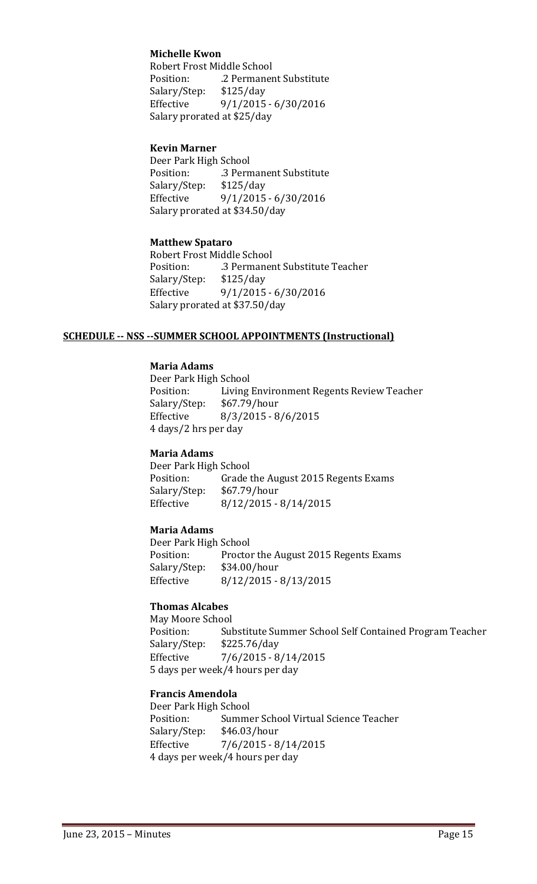## **Michelle Kwon**

Robert Frost Middle School<br>Position: 2 Permaner .2 Permanent Substitute<br>\$125/day Salary/Step: Effective 9/1/2015 - 6/30/2016 Salary prorated at \$25/day

#### **Kevin Marner**

Deer Park High School<br>Position: ... 3 Pern .3 Permanent Substitute<br>\$125/day Salary/Step:<br>Effective  $9/1/2015 - 6/30/2016$ Salary prorated at \$34.50/day

#### **Matthew Spataro**

Robert Frost Middle School<br>Position: .3 Permaner .3 Permanent Substitute Teacher<br>\$125/day Salary/Step:<br>Effective  $9/1/2015 - 6/30/2016$ Salary prorated at \$37.50/day

#### **SCHEDULE -- NSS --SUMMER SCHOOL APPOINTMENTS (Instructional)**

## **Maria Adams**

Deer Park High School<br>Position: Living Living Environment Regents Review Teacher<br>\$67.79/hour Salary/Step: Effective 8/3/2015 - 8/6/2015 4 days/2 hrs per day

#### **Maria Adams**

Deer Park High School<br>Position: Grade t Grade the August 2015 Regents Exams<br>: \$67.79/hour Salary/Step:<br>Effective  $8/12/2015 - 8/14/2015$ 

#### **Maria Adams**

Deer Park High School<br>Position: Proctor Proctor the August 2015 Regents Exams<br>\$34.00/hour Salary/Step:<br>Effective Effective 8/12/2015 - 8/13/2015

#### **Thomas Alcabes**

May Moore School<br>Position: Sul Substitute Summer School Self Contained Program Teacher<br>\$225.76/day Salary/Step: Effective 7/6/2015 - 8/14/2015 5 days per week/4 hours per day

#### **Francis Amendola**

Deer Park High School Summer School Virtual Science Teacher<br>\$46.03/hour Salary/Step:<br>Effective  $7/6/2015 - 8/14/2015$ 4 days per week/4 hours per day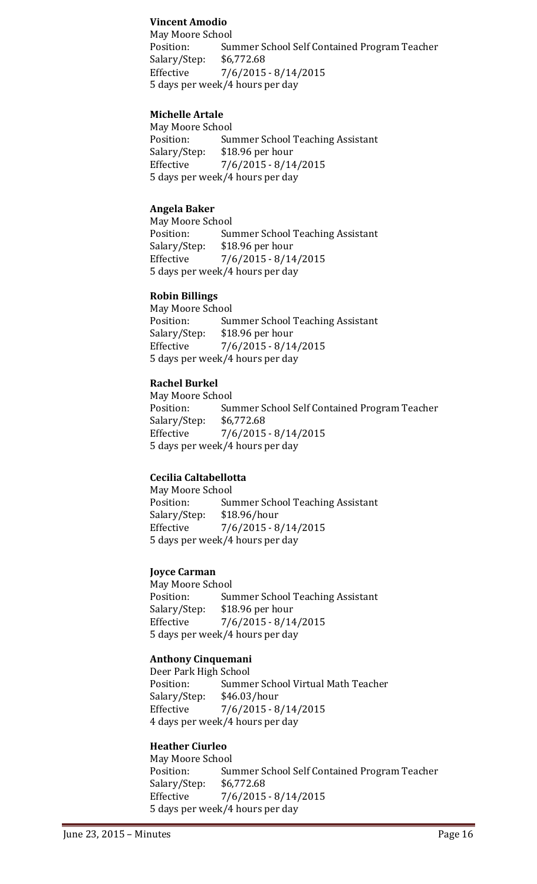#### **Vincent Amodio**

May Moore School Summer School Self Contained Program Teacher<br>\$6,772.68 Salary/Step: Effective 7/6/2015 - 8/14/2015 5 days per week/4 hours per day

#### **Michelle Artale**

May Moore School Position: Summer School Teaching Assistant<br>Salary/Step: \$18.96 per hour Salary/Step: \$18.96 per hour<br>Effective 7/6/2015 - 8/14  $7/6/2015 - 8/14/2015$ 5 days per week/4 hours per day

#### **Angela Baker**

May Moore School<br>Position: Sur Position: Summer School Teaching Assistant<br>Salary/Step: \$18.96 per hour Salary/Step: \$18.96 per hour<br>Effective 7/6/2015 - 8/14  $7/6/2015 - 8/14/2015$ 5 days per week/4 hours per day

#### **Robin Billings**

May Moore School<br>Position: Sui Position: Summer School Teaching Assistant<br>Salary/Step: \$18.96 per hour Salary/Step: \$18.96 per hour<br>Effective 7/6/2015 - 8/14  $7/6/2015 - 8/14/2015$ 5 days per week/4 hours per day

#### **Rachel Burkel**

May Moore School<br>Position: Sui Summer School Self Contained Program Teacher<br>\$6,772.68 Salary/Step:<br>Effective  $7/6/2015 - 8/14/2015$ 5 days per week/4 hours per day

## **Cecilia Caltabellotta**

May Moore School<br>Position: Sui Summer School Teaching Assistant<br>\$18.96/hour Salary/Step: Effective 7/6/2015 - 8/14/2015 5 days per week/4 hours per day

#### **Joyce Carman**

May Moore School<br>Position: Sur Position: Summer School Teaching Assistant<br>Salary/Step: \$18.96 per hour Salary/Step: \$18.96 per hour<br>Effective 7/6/2015 - 8/14  $7/6/2015 - 8/14/2015$ 5 days per week/4 hours per day

#### **Anthony Cinquemani**

Deer Park High School<br>Position: Summe Summer School Virtual Math Teacher<br>\$46.03/hour Salary/Step:<br>Effective  $7/6/2015 - 8/14/2015$ 4 days per week/4 hours per day

## **Heather Ciurleo**

May Moore School<br>Position: Sur Summer School Self Contained Program Teacher<br>\$6,772.68 Salary/Step:<br>Effective  $7/6/2015 - 8/14/2015$ 5 days per week/4 hours per day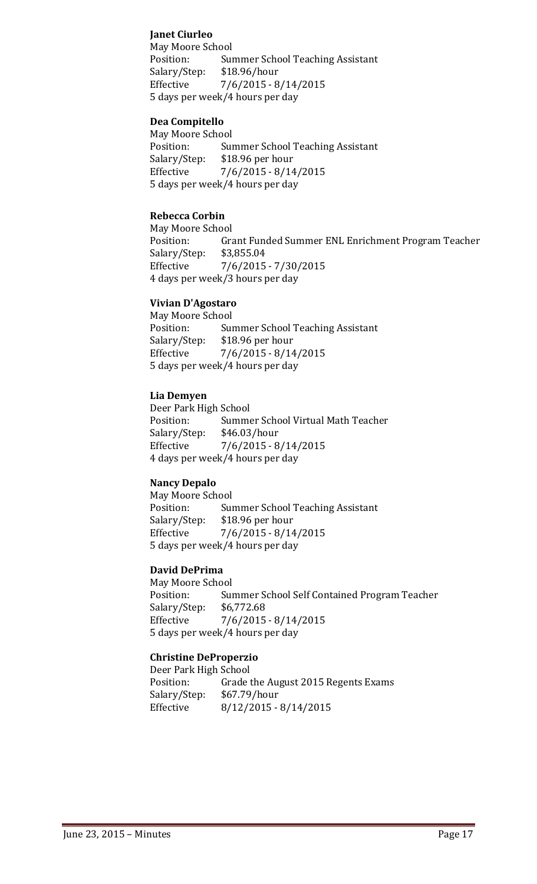## **Janet Ciurleo**

May Moore School<br>Position: Sur Summer School Teaching Assistant<br>\$18.96/hour Salary/Step: Effective 7/6/2015 - 8/14/2015 5 days per week/4 hours per day

#### **Dea Compitello**

May Moore School<br>Position: Sur Position: Summer School Teaching Assistant<br>Salary/Step: \$18.96 per hour \$18.96 per hour Effective 7/6/2015 - 8/14/2015 5 days per week/4 hours per day

## **Rebecca Corbin**

May Moore School<br>Position: Gra Grant Funded Summer ENL Enrichment Program Teacher \$3,855.04 Salary/Step:<br>Effective  $7/6/2015 - 7/30/2015$ 4 days per week/3 hours per day

#### **Vivian D'Agostaro**

May Moore School<br>Position: Sui Position: Summer School Teaching Assistant<br>Salary/Step: \$18.96 per hour Salary/Step: \$18.96 per hour<br>Effective 7/6/2015 - 8/14  $7/6/2015 - 8/14/2015$ 5 days per week/4 hours per day

#### **Lia Demyen**

Deer Park High School<br>Position: Summe Summer School Virtual Math Teacher<br>\$46.03/hour Salary/Step:<br>Effective  $7/6/2015 - 8/14/2015$ 4 days per week/4 hours per day

## **Nancy Depalo**

May Moore School<br>Position: Sui Position: Summer School Teaching Assistant<br>Salary/Step: \$18.96 per hour Salary/Step: \$18.96 per hour<br>Effective 7/6/2015 - 8/14  $7/6/2015 - 8/14/2015$ 5 days per week/4 hours per day

## **David DePrima**

May Moore School<br>Position: Sui Summer School Self Contained Program Teacher<br>\$6,772.68 Salary/Step: Effective 7/6/2015 - 8/14/2015 5 days per week/4 hours per day

#### **Christine DeProperzio**

Deer Park High School<br>Position: Grade t Grade the August 2015 Regents Exams<br>\$67.79/hour Salary/Step:<br>Effective  $8/12/2015 - 8/14/2015$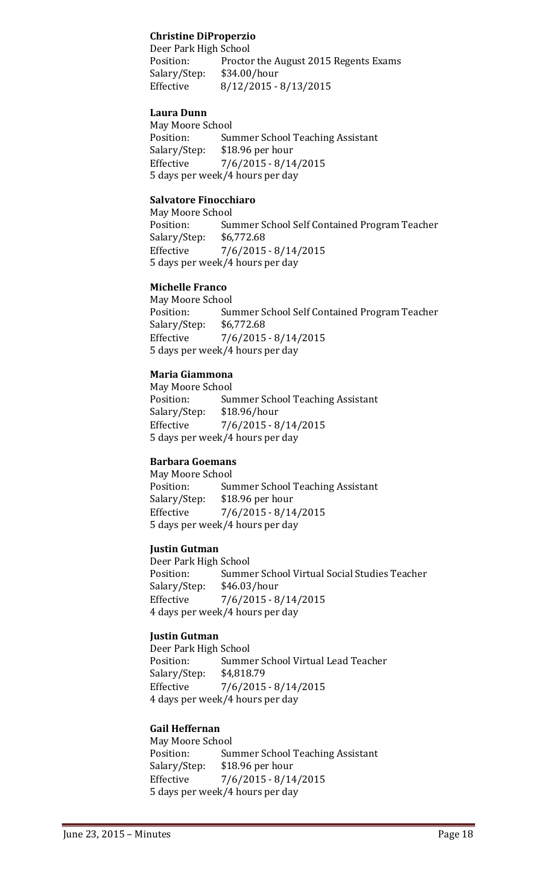## **Christine DiProperzio**

Deer Park High School<br>Position: Proctor Proctor the August 2015 Regents Exams<br>\$34.00/hour Salary/Step:<br>Effective Effective 8/12/2015 - 8/13/2015

#### **Laura Dunn**

May Moore School<br>Position: Sui Position: Summer School Teaching Assistant<br>Salary/Step: \$18.96 per hour Salary/Step: \$18.96 per hour<br>Effective 7/6/2015 - 8/14  $7/6/2015 - 8/14/2015$ 5 days per week/4 hours per day

### **Salvatore Finocchiaro**

May Moore School<br>Position: Sui Summer School Self Contained Program Teacher<br>\$6,772.68 Salary/Step:<br>Effective  $7/6/2015 - 8/14/2015$ 5 days per week/4 hours per day

#### **Michelle Franco**

May Moore School<br>Position: Sur Summer School Self Contained Program Teacher<br>\$6,772.68 Salary/Step: Effective 7/6/2015 - 8/14/2015 5 days per week/4 hours per day

## **Maria Giammona**

May Moore School<br>Position: Sui Position: Summer School Teaching Assistant<br>Salary/Step: \$18.96/hour Salary/Step: \$18.96/hour<br>Effective 7/6/2015 - 8  $7/6/2015 - 8/14/2015$ 5 days per week/4 hours per day

## **Barbara Goemans**

May Moore School<br>Position: Sur Position: Summer School Teaching Assistant<br>Salary/Step: \$18.96 per hour Salary/Step: \$18.96 per hour<br>Effective 7/6/2015 - 8/14  $7/6/2015 - 8/14/2015$ 5 days per week/4 hours per day

## **Justin Gutman**

Deer Park High School<br>Position: Summe Summer School Virtual Social Studies Teacher<br>\$46.03/hour Salary/Step:<br>Effective  $7/6/2015 - 8/14/2015$ 4 days per week/4 hours per day

#### **Justin Gutman**

Deer Park High School<br>Position: Summe Summer School Virtual Lead Teacher<br>\$4,818.79 Salary/Step:<br>Effective  $7/6/2015 - 8/14/2015$ 4 days per week/4 hours per day

#### **Gail Heffernan**

May Moore School<br>Position: Sur Position: Summer School Teaching Assistant<br>Salary/Step: \$18.96 per hour \$18.96 per hour Effective 7/6/2015 - 8/14/2015 5 days per week/4 hours per day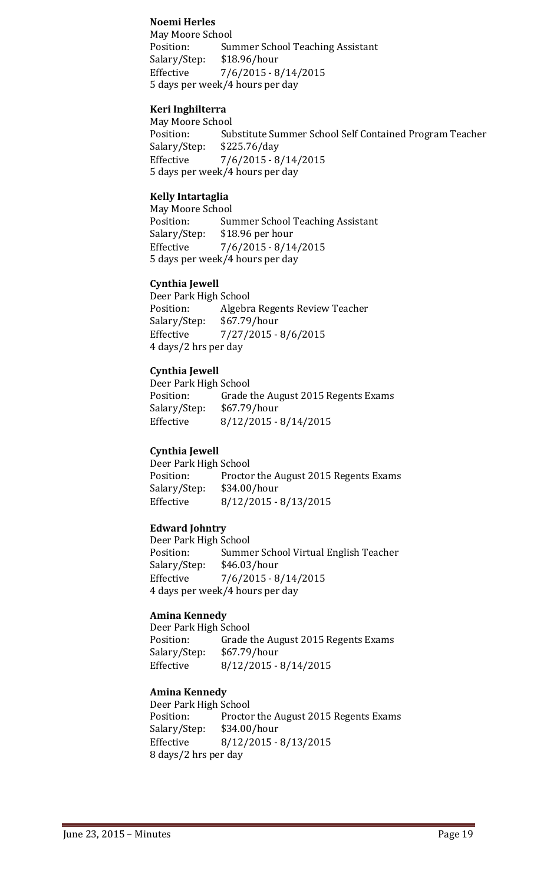#### **Noemi Herles**

May Moore School Summer School Teaching Assistant<br>\$18.96/hour Salary/Step:<br>Effective Effective 7/6/2015 - 8/14/2015 5 days per week/4 hours per day

#### **Keri Inghilterra**

May Moore School<br>Position: Sul Position: Substitute Summer School Self Contained Program Teacher<br>Salary/Step: \$225.76/day Salary/Step: \$225.76/day  $7/6/2015 - 8/14/2015$ 5 days per week/4 hours per day

### **Kelly Intartaglia**

May Moore School<br>Position: Su Position: Summer School Teaching Assistant<br>Salary/Step: \$18.96 per hour \$18.96 per hour Effective 7/6/2015 - 8/14/2015 5 days per week/4 hours per day

#### **Cynthia Jewell**

Deer Park High School<br>Position: Algebra Position: Algebra Regents Review Teacher<br>Salary/Step: \$67.79/hour Salary/Step: \$67.79/hour<br>Effective 7/27/2015 -Effective 7/27/2015 - 8/6/2015 4 days/2 hrs per day

#### **Cynthia Jewell**

Deer Park High School<br>Position: Grade Grade the August 2015 Regents Exams<br>\$67.79/hour Salary/Step:<br>Effective  $8/12/2015 - 8/14/2015$ 

#### **Cynthia Jewell**

Deer Park High School<br>Position: Proctor Proctor the August 2015 Regents Exams<br>\$34.00/hour Salary/Step: Effective 8/12/2015 - 8/13/2015

#### **Edward Johntry**

Deer Park High School<br>Position: Summe Summer School Virtual English Teacher<br>\$46.03/hour Salary/Step:<br>Effective  $7/6/2015 - 8/14/2015$ 4 days per week/4 hours per day

#### **Amina Kennedy**

Deer Park High School<br>Position: Grade t Grade the August 2015 Regents Exams<br>\$67.79/hour Salary/Step:<br>Effective  $8/12/2015 - 8/14/2015$ 

#### **Amina Kennedy**

Deer Park High School<br>Position: Proctor Proctor the August 2015 Regents Exams Salary/Step: \$34.00/hour Effective 8/12/2015 - 8/13/2015 8 days/2 hrs per day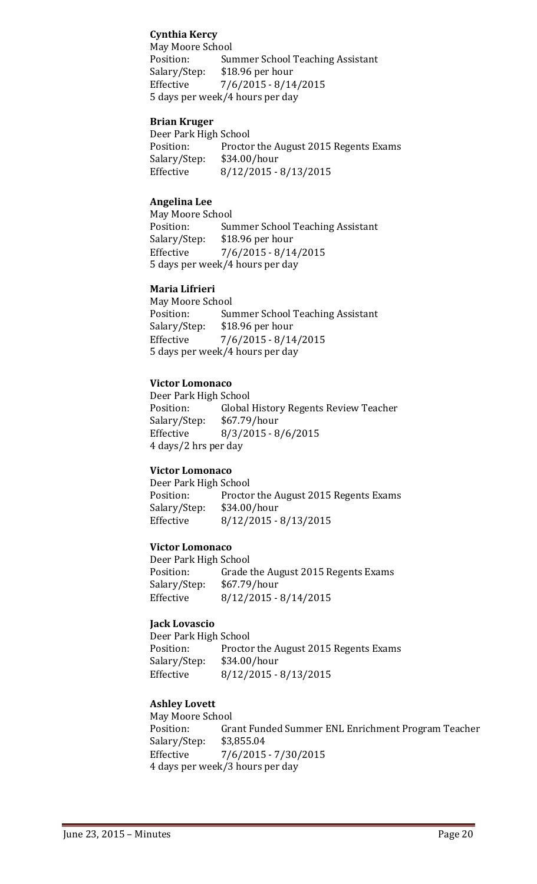## **Cynthia Kercy**

May Moore School<br>Position: Sur Summer School Teaching Assistant<br>\$18.96 per hour Salary/Step: Effective 7/6/2015 - 8/14/2015 5 days per week/4 hours per day

#### **Brian Kruger**

Deer Park High School<br>Position: Proctor Proctor the August 2015 Regents Exams<br>\$34.00/hour Salary/Step:<br>Effective Effective 8/12/2015 - 8/13/2015

#### **Angelina Lee**

May Moore School<br>Position: Sui Position: Summer School Teaching Assistant<br>Salary/Step: \$18.96 per hour \$18.96 per hour Effective 7/6/2015 - 8/14/2015 5 days per week/4 hours per day

#### **Maria Lifrieri**

May Moore School<br>Position: Sui Position: Summer School Teaching Assistant<br>Salary/Step: \$18.96 per hour Salary/Step: \$18.96 per hour<br>Effective 7/6/2015 - 8/14  $7/6/2015 - 8/14/2015$ 5 days per week/4 hours per day

#### **Victor Lomonaco**

Deer Park High School<br>Position: Global Global History Regents Review Teacher<br>\$67.79/hour Salary/Step:<br>Effective  $8/3/2015 - 8/6/2015$ 4 days/2 hrs per day

#### **Victor Lomonaco**

Deer Park High School<br>Position: Proctor Proctor the August 2015 Regents Exams<br>\$34.00/hour Salary/Step:<br>Effective  $8/12/2015 - 8/13/2015$ 

#### **Victor Lomonaco**

Deer Park High School<br>Position: Grade t Grade the August 2015 Regents Exams<br>\$67.79/hour Salary/Step: Effective 8/12/2015 - 8/14/2015

#### **Jack Lovascio**

Deer Park High School<br>Position: Proctor Proctor the August 2015 Regents Exams<br>\$34.00/hour Salary/Step:<br>Effective  $8/12/2015 - 8/13/2015$ 

#### **Ashley Lovett**

May Moore School<br>Position: Gra Grant Funded Summer ENL Enrichment Program Teacher \$3,855.04 Salary/Step:<br>Effective  $7/6/2015 - 7/30/2015$ 4 days per week/3 hours per day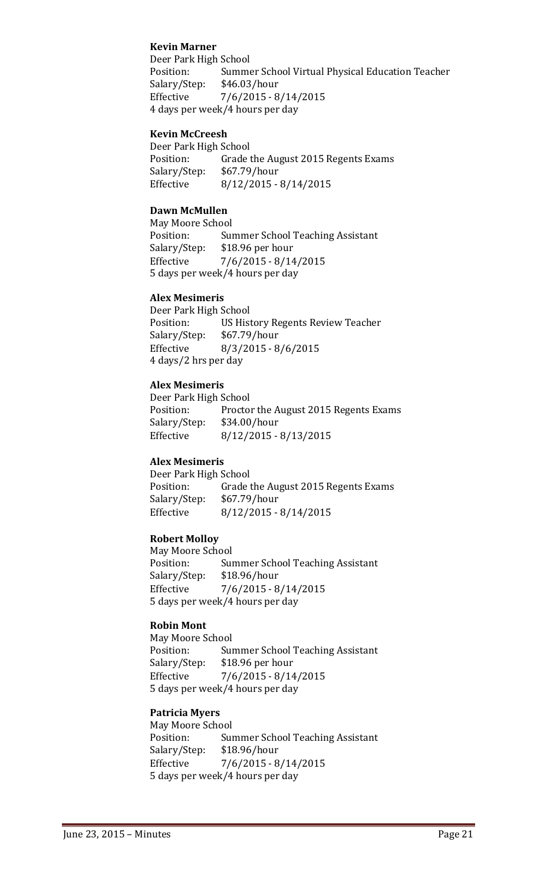#### **Kevin Marner**

Deer Park High School<br>Position: Summe Summer School Virtual Physical Education Teacher<br>\$46.03/hour Salary/Step:<br>Effective  $7/6/2015 - 8/14/2015$ 4 days per week/4 hours per day

#### **Kevin McCreesh**

Deer Park High School<br>Position: Grade t Grade the August 2015 Regents Exams<br>\$67.79/hour Salary/Step: Effective 8/12/2015 - 8/14/2015

#### **Dawn McMullen**

May Moore School<br>Position: Sui Position: Summer School Teaching Assistant<br>Salary/Step: \$18.96 per hour Salary/Step: \$18.96 per hour<br>Effective 7/6/2015 - 8/14  $7/6/2015 - 8/14/2015$ 5 days per week/4 hours per day

#### **Alex Mesimeris**

Deer Park High School<br>Position: US Hist US History Regents Review Teacher<br>\$67.79/hour Salary/Step: Effective 8/3/2015 - 8/6/2015 4 days/2 hrs per day

## **Alex Mesimeris**

Deer Park High School<br>Position: Proctor Proctor the August 2015 Regents Exams<br>\$34.00/hour Salary/Step: Effective 8/12/2015 - 8/13/2015

## **Alex Mesimeris**

Deer Park High School<br>Position: Grade t Grade the August 2015 Regents Exams<br>\$67.79/hour Salary/Step:<br>Effective  $8/12/2015 - 8/14/2015$ 

## **Robert Molloy**

May Moore School<br>Position: Sui Summer School Teaching Assistant<br>\$18.96/hour Salary/Step: Effective 7/6/2015 - 8/14/2015 5 days per week/4 hours per day

## **Robin Mont**

May Moore School Position: Summer School Teaching Assistant<br>Salary/Step: \$18.96 per hour Salary/Step: \$18.96 per hour<br>Effective 7/6/2015 - 8/14  $7/6/2015 - 8/14/2015$ 5 days per week/4 hours per day

#### **Patricia Myers**

May Moore School<br>Position: Sui Summer School Teaching Assistant<br>\$18.96/hour Salary/Step: Effective 7/6/2015 - 8/14/2015 5 days per week/4 hours per day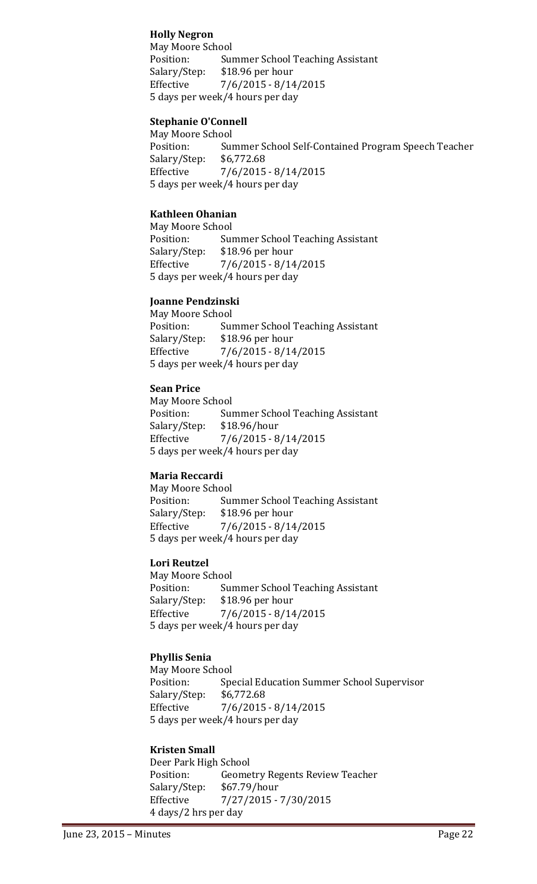## **Holly Negron**

May Moore School<br>Position: Sur Summer School Teaching Assistant<br>\$18.96 per hour Salary/Step: Effective 7/6/2015 - 8/14/2015 5 days per week/4 hours per day

#### **Stephanie O'Connell**

May Moore School<br>Position: Sui Summer School Self-Contained Program Speech Teacher<br>\$6,772.68 Salary/Step: Effective 7/6/2015 - 8/14/2015 5 days per week/4 hours per day

#### **Kathleen Ohanian**

May Moore School<br>Position: Sui Position: Summer School Teaching Assistant<br>Salary/Step: \$18.96 per hour \$18.96 per hour Effective 7/6/2015 - 8/14/2015 5 days per week/4 hours per day

#### **Joanne Pendzinski**

May Moore School Position: Summer School Teaching Assistant<br>Salary/Step: \$18.96 per hour Salary/Step: \$18.96 per hour<br>Effective 7/6/2015 - 8/14  $7/6/2015 - 8/14/2015$ 5 days per week/4 hours per day

#### **Sean Price**

May Moore School<br>Position: Sui Summer School Teaching Assistant<br>\$18.96/hour Salary/Step: Effective 7/6/2015 - 8/14/2015 5 days per week/4 hours per day

## **Maria Reccardi**

May Moore School<br>Position: Sur Position: Summer School Teaching Assistant<br>Salary/Step: \$18.96 per hour \$18.96 per hour Effective 7/6/2015 - 8/14/2015 5 days per week/4 hours per day

#### **Lori Reutzel**

May Moore School<br>Position: Sur Position: Summer School Teaching Assistant<br>Salary/Step: \$18.96 per hour Salary/Step: \$18.96 per hour  $7/6/2015 - 8/14/2015$ 5 days per week/4 hours per day

## **Phyllis Senia**

May Moore School<br>Position: Spe Special Education Summer School Supervisor<br>\$6,772.68 Salary/Step:<br>Effective  $7/6/2015 - 8/14/2015$ 5 days per week/4 hours per day

#### **Kristen Small**

Deer Park High School<br>Position: Geome Geometry Regents Review Teacher<br>\$67.79/hour Salary/Step:<br>Effective Effective 7/27/2015 - 7/30/2015 4 days/2 hrs per day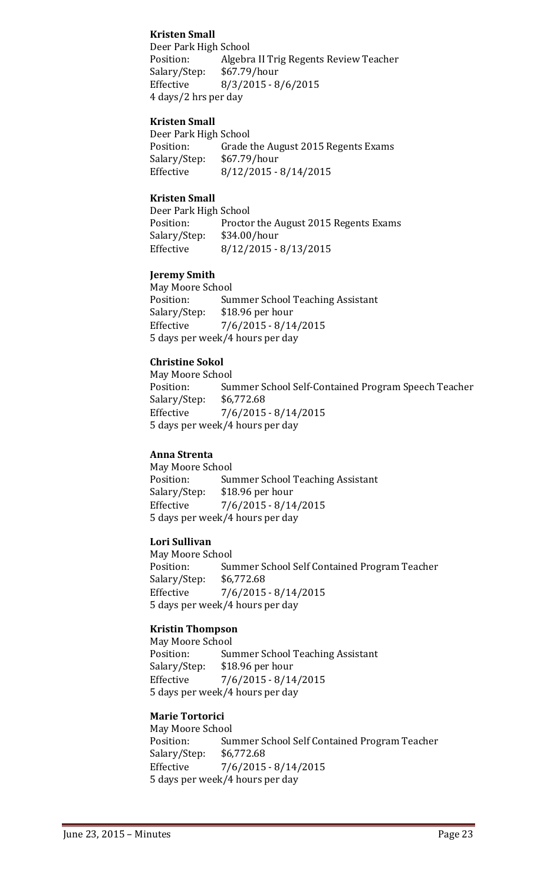## **Kristen Small**

Deer Park High School<br>Position: Algebra Algebra II Trig Regents Review Teacher<br>\$67.79/hour Salary/Step: Effective 8/3/2015 - 8/6/2015 4 days/2 hrs per day

#### **Kristen Small**

Deer Park High School<br>Position: Grade Grade the August 2015 Regents Exams<br>\$67.79/hour Salary/Step:<br>Effective  $8/12/2015 - 8/14/2015$ 

### **Kristen Small**

Deer Park High School<br>Position: Proctor Proctor the August 2015 Regents Exams<br>\$34.00/hour Salary/Step:<br>Effective Effective 8/12/2015 - 8/13/2015

## **Jeremy Smith**

May Moore School<br>Position: Sui Summer School Teaching Assistant<br>\$18.96 per hour Salary/Step:<br>Effective  $7/6/2015 - 8/14/2015$ 5 days per week/4 hours per day

## **Christine Sokol**

May Moore School<br>Position: Sui Summer School Self-Contained Program Speech Teacher<br>\$6,772.68 Salary/Step: Effective 7/6/2015 - 8/14/2015 5 days per week/4 hours per day

#### **Anna Strenta**

May Moore School<br>Position: Sui Position: Summer School Teaching Assistant<br>Salary/Step: \$18.96 per hour Salary/Step: \$18.96 per hour<br>Effective 7/6/2015 - 8/14  $7/6/2015 - 8/14/2015$ 5 days per week/4 hours per day

#### **Lori Sullivan**

May Moore School<br>Position: Sui Summer School Self Contained Program Teacher<br>\$6,772.68 Salary/Step:<br>Effective  $7/6/2015 - 8/14/2015$ 5 days per week/4 hours per day

## **Kristin Thompson**

May Moore School<br>Position: Sur Position: Summer School Teaching Assistant<br>Salary/Step: \$18.96 per hour \$18.96 per hour Effective 7/6/2015 - 8/14/2015 5 days per week/4 hours per day

## **Marie Tortorici**

May Moore School Summer School Self Contained Program Teacher<br>\$6,772.68 Salary/Step:<br>Effective  $7/6/2015 - 8/14/2015$ 5 days per week/4 hours per day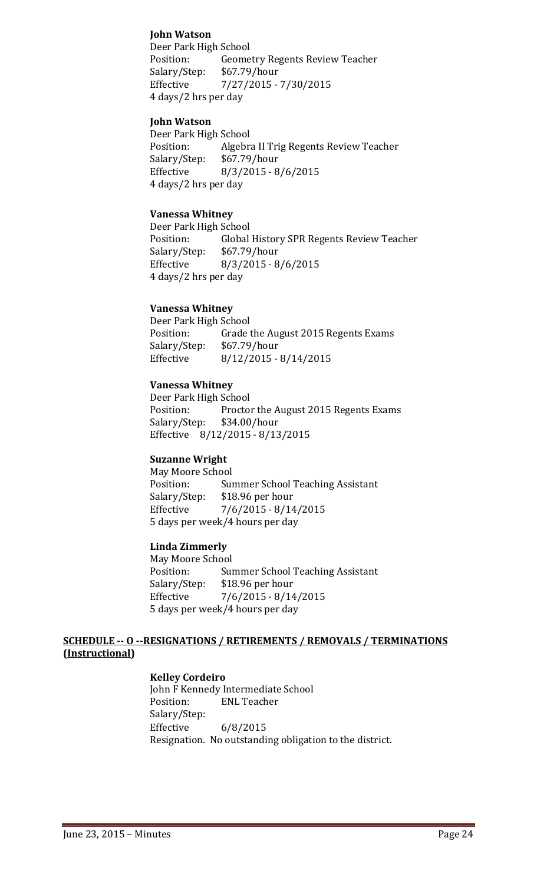### **John Watson**

Deer Park High School<br>Position: Geome Geometry Regents Review Teacher<br>\$67.79/hour Salary/Step: Effective 7/27/2015 - 7/30/2015 4 days/2 hrs per day

#### **John Watson**

Deer Park High School<br>Position: Algebr Algebra II Trig Regents Review Teacher<br>\$67.79/hour Salary/Step:<br>Effective  $8/3/2015 - 8/6/2015$ 4 days/2 hrs per day

#### **Vanessa Whitney**

Deer Park High School<br>Position: Global Position: Global History SPR Regents Review Teacher<br>Salary/Step: \$67.79/hour  $$67.79/hour$ Effective 8/3/2015 - 8/6/2015 4 days/2 hrs per day

#### **Vanessa Whitney**

Deer Park High School<br>Position: Grade t Grade the August 2015 Regents Exams<br>\$67.79/hour Salary/Step: Effective 8/12/2015 - 8/14/2015

#### **Vanessa Whitney**

Deer Park High School<br>Position: Proctor Proctor the August 2015 Regents Exams Salary/Step: \$34.00/hour Effective 8/12/2015 - 8/13/2015

#### **Suzanne Wright**

May Moore School<br>Position: Sui Position: Summer School Teaching Assistant<br>Salary/Step: \$18.96 per hour \$18.96 per hour Effective 7/6/2015 - 8/14/2015 5 days per week/4 hours per day

#### **Linda Zimmerly**

May Moore School<br>Position: Sui Position: Summer School Teaching Assistant<br>Salary/Step: \$18.96 per hour \$18.96 per hour Effective 7/6/2015 - 8/14/2015 5 days per week/4 hours per day

#### **SCHEDULE -- O --RESIGNATIONS / RETIREMENTS / REMOVALS / TERMINATIONS (Instructional)**

#### **Kelley Cordeiro**

John F Kennedy Intermediate School<br>Position: ENL Teacher **ENL Teacher** Salary/Step:<br>Effective  $6/8/2015$ Resignation. No outstanding obligation to the district.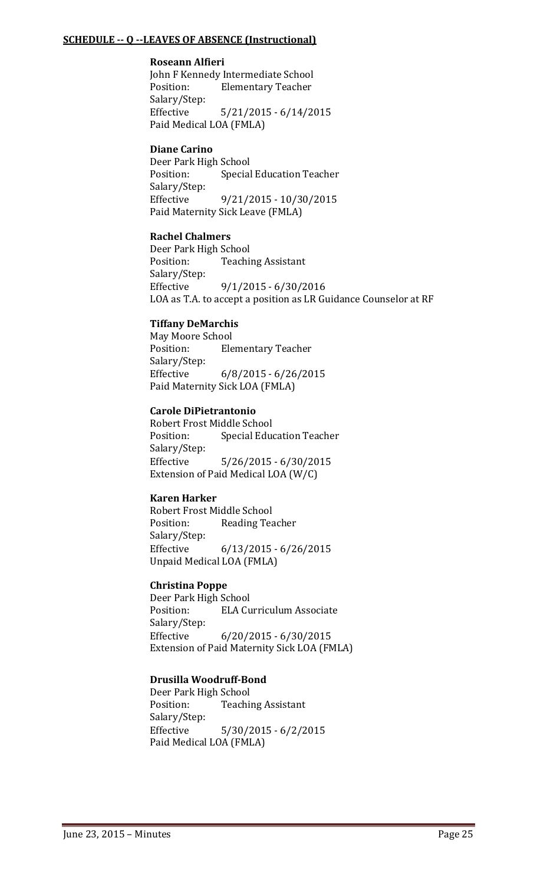#### **SCHEDULE -- Q --LEAVES OF ABSENCE (Instructional)**

#### **Roseann Alfieri**

John F Kennedy Intermediate School<br>Position: Elementary Teacher **Elementary Teacher** Salary/Step:  $5/21/2015 - 6/14/2015$ Paid Medical LOA (FMLA)

### **Diane Carino**

Deer Park High School<br>Position: Special **Special Education Teacher** Salary/Step:<br>Effective Effective 9/21/2015 - 10/30/2015 Paid Maternity Sick Leave (FMLA)

## **Rachel Chalmers**

Deer Park High School<br>Position: Teachi **Teaching Assistant** Salary/Step: Effective 9/1/2015 - 6/30/2016 LOA as T.A. to accept a position as LR Guidance Counselor at RF

## **Tiffany DeMarchis**

May Moore School<br>Position: Ele **Elementary Teacher** Salary/Step:<br>Effective  $6/8/2015 - 6/26/2015$ Paid Maternity Sick LOA (FMLA)

## **Carole DiPietrantonio**

Robert Frost Middle School<br>Position: Special Educ **Special Education Teacher** Salary/Step: Effective 5/26/2015 - 6/30/2015 Extension of Paid Medical LOA (W/C)

## **Karen Harker**

Robert Frost Middle School<br>Position: Reading Tea Reading Teacher Salary/Step: Effective 6/13/2015 - 6/26/2015 Unpaid Medical LOA (FMLA)

## **Christina Poppe**

Deer Park High School<br>Position: ELA Cu **ELA Curriculum Associate** Salary/Step:<br>Effective  $6/20/2015 - 6/30/2015$ Extension of Paid Maternity Sick LOA (FMLA)

## **Drusilla Woodruff-Bond**

Deer Park High School<br>Position: Teachi **Teaching Assistant** Salary/Step: Effective 5/30/2015 - 6/2/2015 Paid Medical LOA (FMLA)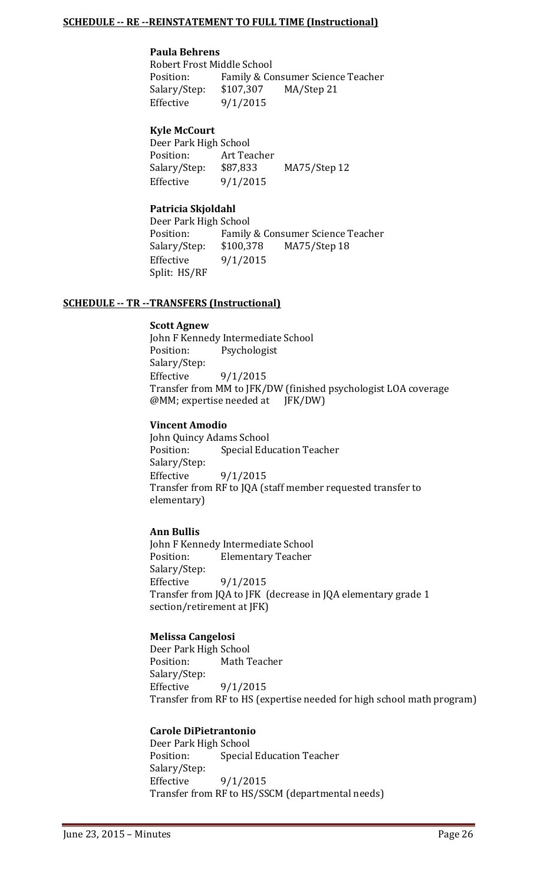#### **SCHEDULE -- RE --REINSTATEMENT TO FULL TIME (Instructional)**

#### **Paula Behrens**

Robert Frost Middle School<br>Position: Family & Co Family & Consumer Science Teacher<br>\$107,307 MA/Step 21 Salary/Step: Effective 9/1/2015

## **Kyle McCourt**

Deer Park High School<br>Position: Art Tea Position: Art Teacher<br>Salary/Step: \$87,833 Salary/Step: \$87,833 MA75/Step 12<br>Effective 9/1/2015  $9/1/2015$ 

## **Patricia Skjoldahl**

Deer Park High School<br>Position: Family Position: Family & Consumer Science Teacher<br>Salary/Step: \$100,378 MA75/Step 18 MA75/Step 18 Effective 9/1/2015 Split: HS/RF

#### **SCHEDULE -- TR --TRANSFERS (Instructional)**

#### **Scott Agnew**

John F Kennedy Intermediate School<br>Position: Psychologist Psychologist Salary/Step:<br>Effective  $9/1/2015$ Transfer from MM to JFK/DW (finished psychologist LOA coverage @MM; expertise needed at JFK/DW)

#### **Vincent Amodio**

John Quincy Adams School<br>Position: Special Edu **Special Education Teacher** Salary/Step:<br>Effective Effective 9/1/2015 Transfer from RF to JQA (staff member requested transfer to elementary)

## **Ann Bullis**

John F Kennedy Intermediate School<br>Position: Elementary Teacher **Elementary Teacher** Salary/Step:<br>Effective Effective 9/1/2015 Transfer from JQA to JFK (decrease in JQA elementary grade 1 section/retirement at JFK)

#### **Melissa Cangelosi**

Deer Park High School<br>Position: Math T Math Teacher Salary/Step: Effective 9/1/2015 Transfer from RF to HS (expertise needed for high school math program)

#### **Carole DiPietrantonio**

Deer Park High School<br>Position: Special **Special Education Teacher** Salary/Step:<br>Effective Effective 9/1/2015 Transfer from RF to HS/SSCM (departmental needs)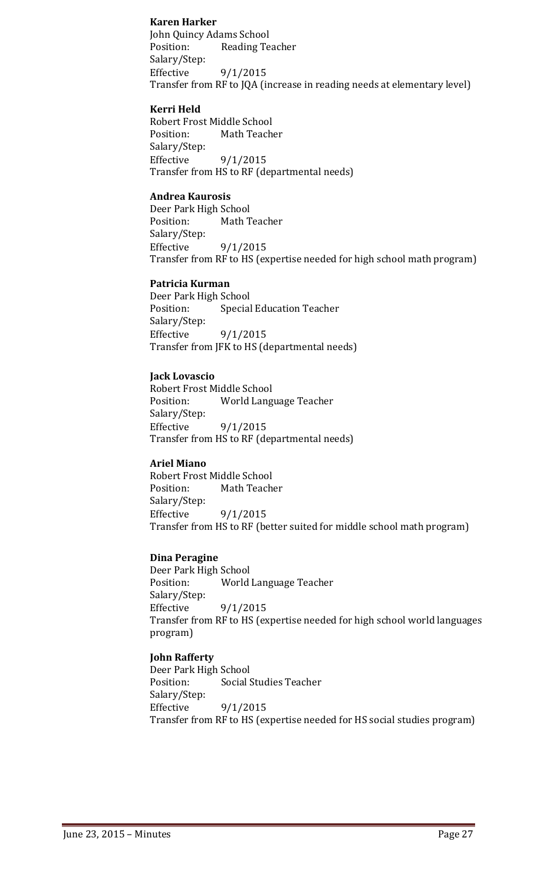### **Karen Harker**

John Quincy Adams School Reading Teacher Salary/Step: Effective 9/1/2015 Transfer from RF to JQA (increase in reading needs at elementary level)

#### **Kerri Held**

Robert Frost Middle School<br>Position: Math Teach Math Teacher Salary/Step:<br>Effective Effective 9/1/2015 Transfer from HS to RF (departmental needs)

#### **Andrea Kaurosis**

Deer Park High School Math Teacher Salary/Step: Effective 9/1/2015 Transfer from RF to HS (expertise needed for high school math program)

#### **Patricia Kurman**

Deer Park High School<br>Position: Special Special Education Teacher Salary/Step:<br>Effective Effective 9/1/2015 Transfer from JFK to HS (departmental needs)

#### **Jack Lovascio**

Robert Frost Middle School World Language Teacher Salary/Step:<br>Effective Effective 9/1/2015 Transfer from HS to RF (departmental needs)

## **Ariel Miano**

Robert Frost Middle School<br>Position: Math Teach Math Teacher Salary/Step: Effective 9/1/2015 Transfer from HS to RF (better suited for middle school math program)

## **Dina Peragine**

Deer Park High School<br>Position: World World Language Teacher Salary/Step: Effective 9/1/2015 Transfer from RF to HS (expertise needed for high school world languages program)

#### **John Rafferty**

Deer Park High School<br>Position: Social S Social Studies Teacher Salary/Step:<br>Effective  $9/1/2015$ Transfer from RF to HS (expertise needed for HS social studies program)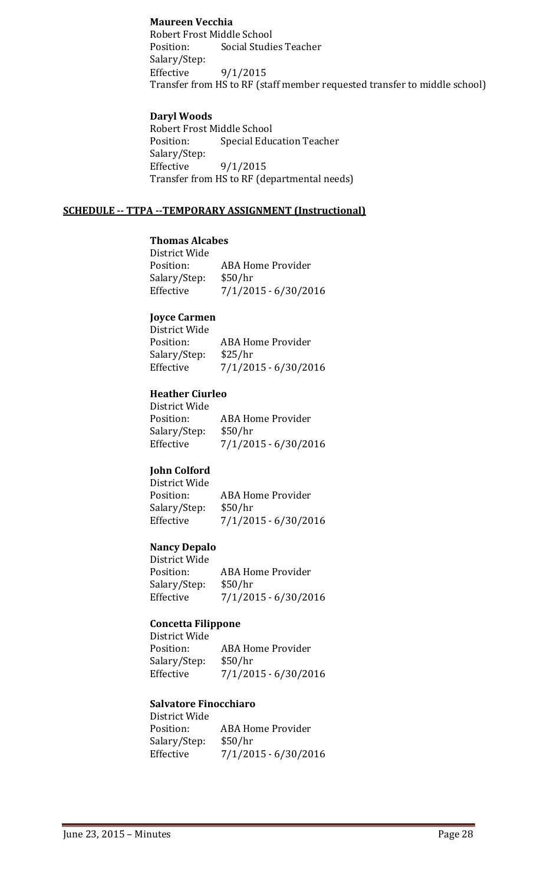## **Maureen Vecchia**

Robert Frost Middle School<br>Position: Social Studie **Social Studies Teacher** Salary/Step:  $9/1/2015$ Transfer from HS to RF (staff member requested transfer to middle school)

#### **Daryl Woods**

Robert Frost Middle School<br>Position: Special Educ **Special Education Teacher** Salary/Step: 9/1/2015 Transfer from HS to RF (departmental needs)

#### **SCHEDULE -- TTPA --TEMPORARY ASSIGNMENT (Instructional)**

## **Thomas Alcabes**

District Wide ABA Home Provider Salary/Step: \$50/hr<br>Effective 7/1/20 Effective 7/1/2015 - 6/30/2016

#### **Joyce Carmen**

| <b>ABA Home Provider</b> |
|--------------------------|
| \$25/hr                  |
| $7/1/2015 - 6/30/2016$   |
|                          |

#### **Heather Ciurleo**

| <b>ABA Home Provider</b> |
|--------------------------|
| \$50/hr                  |
| 7/1/2015 - 6/30/2016     |
|                          |

## **John Colford**

| JUILLE COLLUI U |                      |
|-----------------|----------------------|
| District Wide   |                      |
| Position:       | ABA Home Provider    |
| Salary/Step:    | \$50/hr              |
| Effective       | 7/1/2015 - 6/30/2016 |
|                 |                      |

#### **Nancy Depalo**

| ABA Home Provider      |
|------------------------|
| \$50/hr                |
| $7/1/2015 - 6/30/2016$ |
|                        |

#### **Concetta Filippone**

| ABA Home Provider      |
|------------------------|
| \$50/hr                |
| $7/1/2015 - 6/30/2016$ |
|                        |

#### **Salvatore Finocchiaro** District Wide

| ABA Home Provider      |
|------------------------|
| \$50/hr                |
| $7/1/2015 - 6/30/2016$ |
|                        |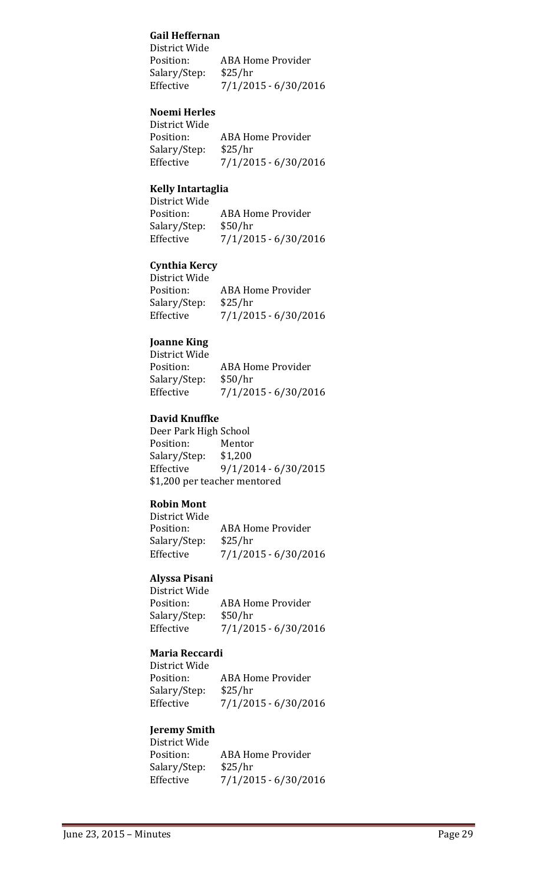## **Gail Heffernan**

District Wide<br>Position: ABA Home Provider<br>\$25/hr Salary/Step:<br>Effective Effective 7/1/2015 - 6/30/2016

## **Noemi Herles**

| District Wide |                          |
|---------------|--------------------------|
| Position:     | <b>ABA Home Provider</b> |
| Salary/Step:  | \$25/hr                  |
| Effective     | $7/1/2015 - 6/30/2016$   |
|               |                          |

## **Kelly Intartaglia**

| $11011$ , $111011$ $015110$ |                          |
|-----------------------------|--------------------------|
| District Wide               |                          |
| Position:                   | <b>ABA Home Provider</b> |
| Salary/Step:                | \$50/hr                  |
| Effective                   | 7/1/2015 - 6/30/2016     |
|                             |                          |

## **Cynthia Kercy**

| <b>ABA Home Provider</b> |
|--------------------------|
| \$25/hr                  |
| $7/1/2015 - 6/30/2016$   |
|                          |

## **Joanne King**

| District Wide |                        |
|---------------|------------------------|
| Position:     | ABA Home Provider      |
| Salary/Step:  | \$50/hr                |
| Effective     | $7/1/2015 - 6/30/2016$ |

## **David Knuffke**

Deer Park High School<br>Position: Mentor Position: Mentor<br>Salary/Step: \$1,200 Salary/Step:<br>Effective  $9/1/2014 - 6/30/2015$ \$1,200 per teacher mentored

## **Robin Mont**

| ABA Home Provider    |
|----------------------|
| \$25/hr              |
| 7/1/2015 - 6/30/2016 |
|                      |

## **Alyssa Pisani**

District Wide ABA Home Provider<br>\$50/hr Salary/Step:<br>Effective  $7/1/2015 - 6/30/2016$ 

## **Maria Reccardi**

District Wide ABA Home Provider<br>\$25/hr Salary/Step:<br>Effective  $7/1/2015 - 6/30/2016$ 

#### **Jeremy Smith** District Wide

| DISTRICT MIDE |                          |
|---------------|--------------------------|
| Position:     | <b>ABA Home Provider</b> |
| Salary/Step:  | \$25/hr                  |
| Effective     | 7/1/2015 - 6/30/2016     |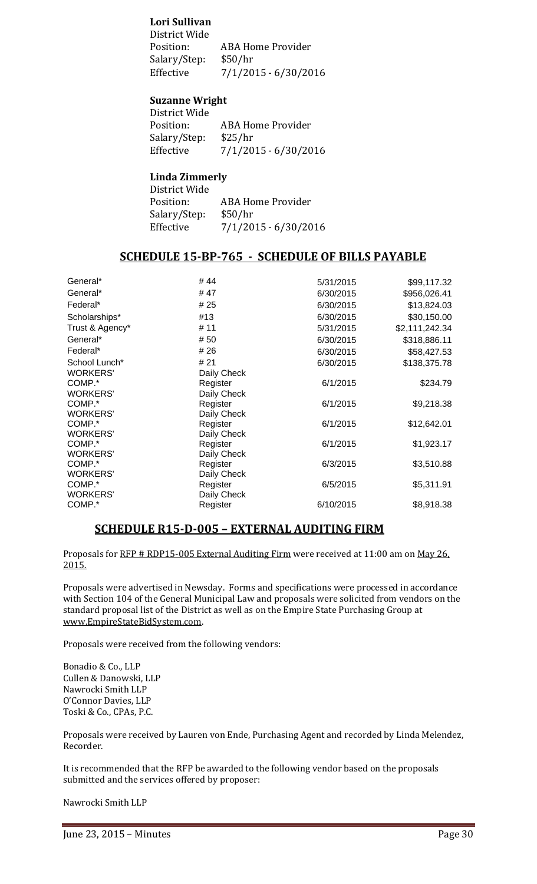### **Lori Sullivan**

District Wide ABA Home Provider<br>\$50/hr Salary/Step:<br>Effective  $7/1/2015 - 6/30/2016$ 

#### **Suzanne Wright**

District Wide<br>Position: ABA Home Provider<br>\$25/hr Salary/Step:<br>Effective  $7/1/2015 - 6/30/2016$ 

#### **Linda Zimmerly**

| District Wide |                          |
|---------------|--------------------------|
| Position:     | <b>ABA Home Provider</b> |
| Salary/Step:  | \$50/hr                  |
| Effective     | 7/1/2015 - 6/30/2016     |
|               |                          |

## **SCHEDULE 15-BP-765 - SCHEDULE OF BILLS PAYABLE**

| General*        | #44         | 5/31/2015 | \$99,117.32    |
|-----------------|-------------|-----------|----------------|
| General*        | #47         | 6/30/2015 | \$956,026.41   |
| Federal*        | # 25        | 6/30/2015 | \$13,824.03    |
| Scholarships*   | #13         | 6/30/2015 | \$30,150.00    |
| Trust & Agency* | # 11        | 5/31/2015 | \$2,111,242.34 |
| General*        | # 50        | 6/30/2015 | \$318,886.11   |
| Federal*        | # 26        | 6/30/2015 | \$58,427.53    |
| School Lunch*   | # 21        | 6/30/2015 | \$138,375.78   |
| <b>WORKERS'</b> | Daily Check |           |                |
| COMP.*          | Register    | 6/1/2015  | \$234.79       |
| <b>WORKERS'</b> | Daily Check |           |                |
| COMP.*          | Register    | 6/1/2015  | \$9,218.38     |
| <b>WORKERS'</b> | Daily Check |           |                |
| COMP.*          | Register    | 6/1/2015  | \$12,642.01    |
| <b>WORKERS'</b> | Daily Check |           |                |
| COMP.*          | Register    | 6/1/2015  | \$1,923.17     |
| <b>WORKERS'</b> | Daily Check |           |                |
| COMP.*          | Register    | 6/3/2015  | \$3,510.88     |
| <b>WORKERS'</b> | Daily Check |           |                |
| COMP.*          | Register    | 6/5/2015  | \$5,311.91     |
| <b>WORKERS'</b> | Daily Check |           |                |
| COMP.*          | Register    | 6/10/2015 | \$8,918.38     |
|                 |             |           |                |

## **SCHEDULE R15-D-005 – EXTERNAL AUDITING FIRM**

Proposals for RFP # RDP15-005 External Auditing Firm were received at 11:00 am on May 26. 2015.

Proposals were advertised in Newsday. Forms and specifications were processed in accordance with Section 104 of the General Municipal Law and proposals were solicited from vendors on the standard proposal list of the District as well as on the Empire State Purchasing Group at [www.EmpireStateBidSystem.com.](http://www.empirestatebidsystem.com/)

Proposals were received from the following vendors:

Bonadio & Co., LLP Cullen & Danowski, LLP Nawrocki Smith LLP O'Connor Davies, LLP Toski & Co., CPAs, P.C.

Proposals were received by Lauren von Ende, Purchasing Agent and recorded by Linda Melendez, Recorder.

It is recommended that the RFP be awarded to the following vendor based on the proposals submitted and the services offered by proposer:

Nawrocki Smith LLP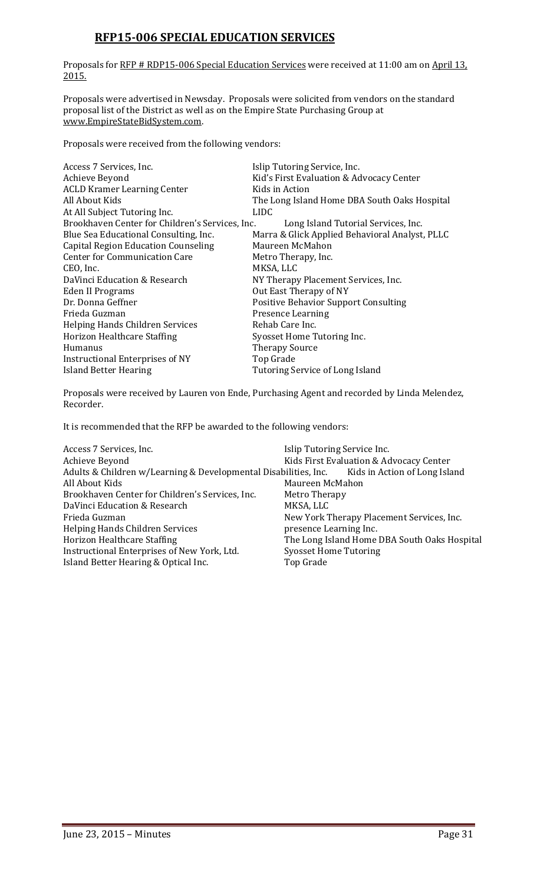## **RFP15-006 SPECIAL EDUCATION SERVICES**

Proposals for RFP # RDP15-006 Special Education Services were received at 11:00 am on April 13, 2015.

Proposals were advertised in Newsday. Proposals were solicited from vendors on the standard proposal list of the District as well as on the Empire State Purchasing Group at [www.EmpireStateBidSystem.com.](http://www.empirestatebidsystem.com/)

Proposals were received from the following vendors:

| Access 7 Services, Inc.                         | Islip Tutoring Service, Inc.                   |
|-------------------------------------------------|------------------------------------------------|
| Achieve Beyond                                  | Kid's First Evaluation & Advocacy Center       |
| <b>ACLD Kramer Learning Center</b>              | Kids in Action                                 |
| All About Kids                                  | The Long Island Home DBA South Oaks Hospital   |
| At All Subject Tutoring Inc.                    | LIDC.                                          |
| Brookhaven Center for Children's Services, Inc. | Long Island Tutorial Services, Inc.            |
| Blue Sea Educational Consulting, Inc.           | Marra & Glick Applied Behavioral Analyst, PLLC |
| <b>Capital Region Education Counseling</b>      | Maureen McMahon                                |
| <b>Center for Communication Care</b>            | Metro Therapy, Inc.                            |
| CEO, Inc.                                       | MKSA, LLC                                      |
| DaVinci Education & Research                    | NY Therapy Placement Services, Inc.            |
| Eden II Programs                                | Out East Therapy of NY                         |
| Dr. Donna Geffner                               | <b>Positive Behavior Support Consulting</b>    |
| Frieda Guzman                                   | <b>Presence Learning</b>                       |
| Helping Hands Children Services                 | Rehab Care Inc.                                |
| Horizon Healthcare Staffing                     | Syosset Home Tutoring Inc.                     |
| Humanus                                         | <b>Therapy Source</b>                          |
| Instructional Enterprises of NY                 | Top Grade                                      |
| Island Better Hearing                           | Tutoring Service of Long Island                |

Proposals were received by Lauren von Ende, Purchasing Agent and recorded by Linda Melendez, Recorder.

It is recommended that the RFP be awarded to the following vendors:

| Access 7 Services, Inc.                                                                       | Islip Tutoring Service Inc.                  |
|-----------------------------------------------------------------------------------------------|----------------------------------------------|
| Achieve Beyond                                                                                | Kids First Evaluation & Advocacy Center      |
| Adults & Children w/Learning & Developmental Disabilities, Inc. Kids in Action of Long Island |                                              |
| All About Kids                                                                                | Maureen McMahon                              |
| Brookhaven Center for Children's Services, Inc.                                               | Metro Therapy                                |
| DaVinci Education & Research                                                                  | MKSA, LLC                                    |
| Frieda Guzman                                                                                 | New York Therapy Placement Services, Inc.    |
| Helping Hands Children Services                                                               | presence Learning Inc.                       |
| Horizon Healthcare Staffing                                                                   | The Long Island Home DBA South Oaks Hospital |
| Instructional Enterprises of New York, Ltd.                                                   | <b>Syosset Home Tutoring</b>                 |
| Island Better Hearing & Optical Inc.                                                          | Top Grade                                    |
|                                                                                               |                                              |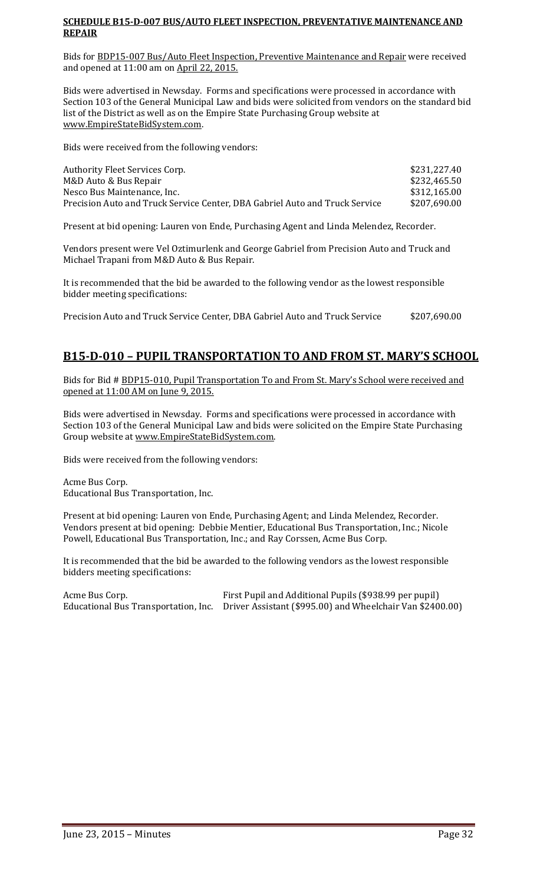#### **SCHEDULE B15-D-007 BUS/AUTO FLEET INSPECTION, PREVENTATIVE MAINTENANCE AND REPAIR**

Bids for BDP15-007 Bus/Auto Fleet Inspection, Preventive Maintenance and Repair were received and opened at 11:00 am on April 22, 2015.

Bids were advertised in Newsday. Forms and specifications were processed in accordance with Section 103 of the General Municipal Law and bids were solicited from vendors on the standard bid list of the District as well as on the Empire State Purchasing Group website at [www.EmpireStateBidSystem.com.](http://www.empirestatebidsystem.com/)

Bids were received from the following vendors:

| Authority Fleet Services Corp.                                              | \$231,227.40 |
|-----------------------------------------------------------------------------|--------------|
| M&D Auto & Bus Repair                                                       | \$232,465.50 |
| Nesco Bus Maintenance, Inc.                                                 | \$312,165.00 |
| Precision Auto and Truck Service Center, DBA Gabriel Auto and Truck Service | \$207,690.00 |

Present at bid opening: Lauren von Ende, Purchasing Agent and Linda Melendez, Recorder.

Vendors present were Vel Oztimurlenk and George Gabriel from Precision Auto and Truck and Michael Trapani from M&D Auto & Bus Repair.

It is recommended that the bid be awarded to the following vendor as the lowest responsible bidder meeting specifications:

Precision Auto and Truck Service Center, DBA Gabriel Auto and Truck Service \$207,690.00

## **B15-D-010 – PUPIL TRANSPORTATION TO AND FROM ST. MARY'S SCHOOL**

Bids for Bid # BDP15-010, Pupil Transportation To and From St. Mary's School were received and opened at 11:00 AM on June 9, 2015.

Bids were advertised in Newsday. Forms and specifications were processed in accordance with Section 103 of the General Municipal Law and bids were solicited on the Empire State Purchasing Group website at [www.EmpireStateBidSystem.com.](http://www.empirestatebidsystem.com/) 

Bids were received from the following vendors:

Acme Bus Corp. Educational Bus Transportation, Inc.

Present at bid opening: Lauren von Ende, Purchasing Agent; and Linda Melendez, Recorder. Vendors present at bid opening: Debbie Mentier, Educational Bus Transportation, Inc.; Nicole Powell, Educational Bus Transportation, Inc.; and Ray Corssen, Acme Bus Corp.

It is recommended that the bid be awarded to the following vendors as the lowest responsible bidders meeting specifications:

Acme Bus Corp. First Pupil and Additional Pupils (\$938.99 per pupil) Educational Bus Transportation, Inc. Driver Assistant (\$995.00) and Wheelchair Van \$2400.00)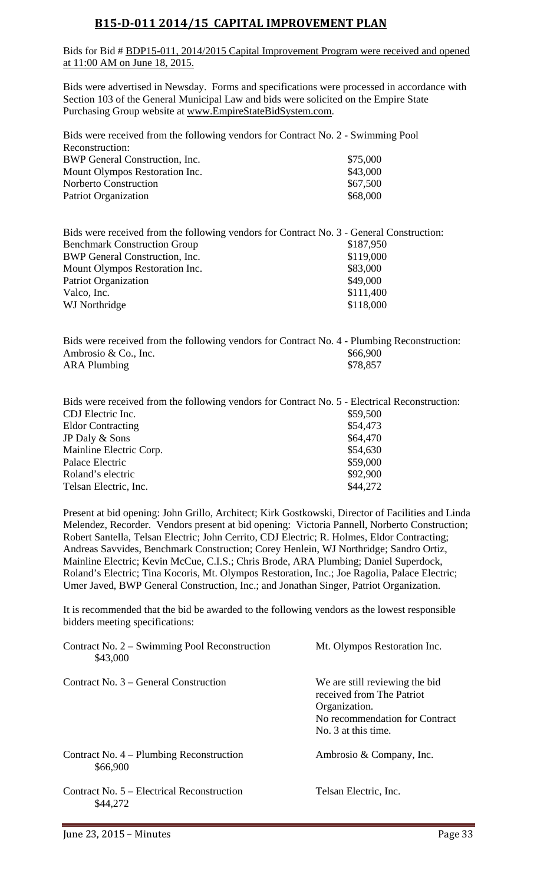## **B15-D-011 2014/15 CAPITAL IMPROVEMENT PLAN**

Bids for Bid # BDP15-011, 2014/2015 Capital Improvement Program were received and opened at 11:00 AM on June 18, 2015.

Bids were advertised in Newsday. Forms and specifications were processed in accordance with Section 103 of the General Municipal Law and bids were solicited on the Empire State Purchasing Group website at [www.EmpireStateBidSystem.com.](http://www.empirestatebidsystem.com/)

| Bids were received from the following vendors for Contract No. 2 - Swimming Pool |          |
|----------------------------------------------------------------------------------|----------|
| Reconstruction:                                                                  |          |
| BWP General Construction, Inc.                                                   | \$75,000 |
| Mount Olympos Restoration Inc.                                                   | \$43,000 |
| <b>Norberto Construction</b>                                                     | \$67,500 |
| <b>Patriot Organization</b>                                                      | \$68,000 |

| Bids were received from the following vendors for Contract No. 3 - General Construction: |           |
|------------------------------------------------------------------------------------------|-----------|
| <b>Benchmark Construction Group</b>                                                      | \$187,950 |
| BWP General Construction, Inc.                                                           | \$119,000 |
| Mount Olympos Restoration Inc.                                                           | \$83,000  |
| <b>Patriot Organization</b>                                                              | \$49,000  |
| Valco, Inc.                                                                              | \$111,400 |
| WJ Northridge                                                                            | \$118,000 |
|                                                                                          |           |

Bids were received from the following vendors for Contract No. 4 - Plumbing Reconstruction: Ambrosio & Co., Inc. \$66,900<br>ARA Plumbing \$78,857 ARA Plumbing

| Bids were received from the following vendors for Contract No. 5 - Electrical Reconstruction: |
|-----------------------------------------------------------------------------------------------|
| \$59,500                                                                                      |
| \$54,473                                                                                      |
| \$64,470                                                                                      |
| \$54,630                                                                                      |
| \$59,000                                                                                      |
| \$92,900                                                                                      |
| \$44,272                                                                                      |
|                                                                                               |

Present at bid opening: John Grillo, Architect; Kirk Gostkowski, Director of Facilities and Linda Melendez, Recorder. Vendors present at bid opening: Victoria Pannell, Norberto Construction; Robert Santella, Telsan Electric; John Cerrito, CDJ Electric; R. Holmes, Eldor Contracting; Andreas Savvides, Benchmark Construction; Corey Henlein, WJ Northridge; Sandro Ortiz, Mainline Electric; Kevin McCue, C.I.S.; Chris Brode, ARA Plumbing; Daniel Superdock, Roland's Electric; Tina Kocoris, Mt. Olympos Restoration, Inc.; Joe Ragolia, Palace Electric; Umer Javed, BWP General Construction, Inc.; and Jonathan Singer, Patriot Organization.

It is recommended that the bid be awarded to the following vendors as the lowest responsible bidders meeting specifications:

| Contract No. 2 – Swimming Pool Reconstruction<br>\$43,000 | Mt. Olympos Restoration Inc.                                                                                                          |
|-----------------------------------------------------------|---------------------------------------------------------------------------------------------------------------------------------------|
| Contract No. 3 – General Construction                     | We are still reviewing the bid<br>received from The Patriot<br>Organization.<br>No recommendation for Contract<br>No. 3 at this time. |
| Contract No. 4 – Plumbing Reconstruction<br>\$66,900      | Ambrosio & Company, Inc.                                                                                                              |
| Contract No. 5 – Electrical Reconstruction<br>\$44,272    | Telsan Electric, Inc.                                                                                                                 |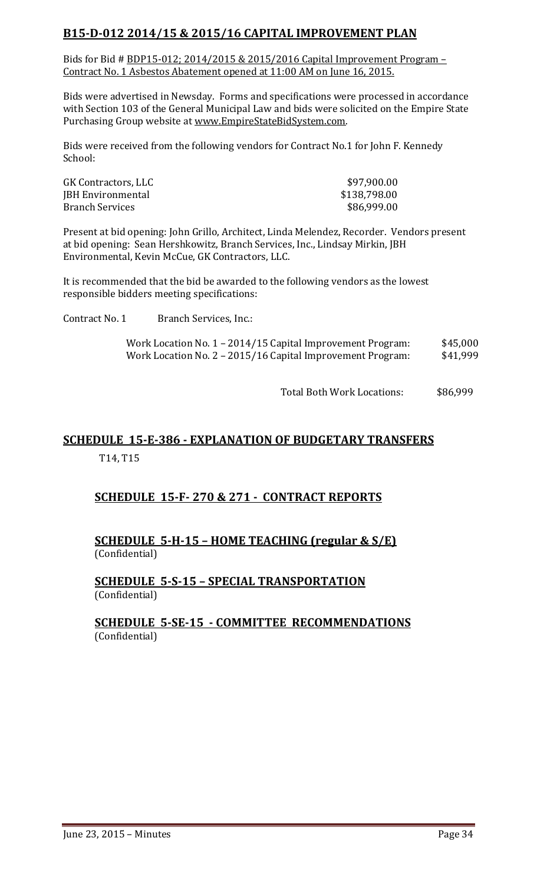## **B15-D-012 2014/15 & 2015/16 CAPITAL IMPROVEMENT PLAN**

Bids for Bid # BDP15-012; 2014/2015 & 2015/2016 Capital Improvement Program – Contract No. 1 Asbestos Abatement opened at 11:00 AM on June 16, 2015.

Bids were advertised in Newsday. Forms and specifications were processed in accordance with Section 103 of the General Municipal Law and bids were solicited on the Empire State Purchasing Group website at [www.EmpireStateBidSystem.com.](http://www.empirestatebidsystem.com/)

Bids were received from the following vendors for Contract No.1 for John F. Kennedy School:

| GK Contractors, LLC      | \$97,900.00  |
|--------------------------|--------------|
| <b>JBH Environmental</b> | \$138,798.00 |
| <b>Branch Services</b>   | \$86,999.00  |

Present at bid opening: John Grillo, Architect, Linda Melendez, Recorder. Vendors present at bid opening: Sean Hershkowitz, Branch Services, Inc., Lindsay Mirkin, JBH Environmental, Kevin McCue, GK Contractors, LLC.

It is recommended that the bid be awarded to the following vendors as the lowest responsible bidders meeting specifications:

Contract No. 1 Branch Services, Inc.:

Work Location No. 1 – 2014/15 Capital Improvement Program: \$45,000<br>Work Location No. 2 – 2015/16 Capital Improvement Program: \$41,999 Work Location No. 2 - 2015/16 Capital Improvement Program:

Total Both Work Locations: \$86,999

## **SCHEDULE 15-E-386 - EXPLANATION OF BUDGETARY TRANSFERS**

T14, T15

## **SCHEDULE 15-F- 270 & 271 - CONTRACT REPORTS**

## **SCHEDULE 5-H-15 – HOME TEACHING (regular & S/E)**  (Confidential)

## **SCHEDULE 5-S-15 – SPECIAL TRANSPORTATION**  (Confidential)

## **SCHEDULE 5-SE-15 - COMMITTEE RECOMMENDATIONS** (Confidential)